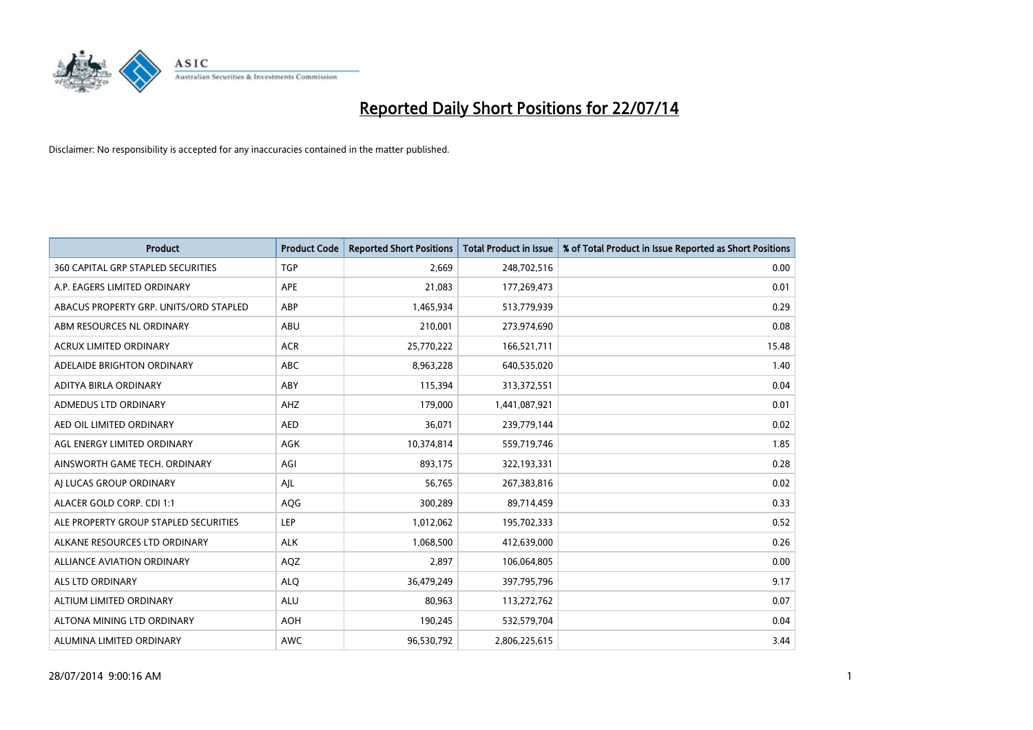

| <b>Product</b>                            | <b>Product Code</b> | <b>Reported Short Positions</b> | <b>Total Product in Issue</b> | % of Total Product in Issue Reported as Short Positions |
|-------------------------------------------|---------------------|---------------------------------|-------------------------------|---------------------------------------------------------|
| <b>360 CAPITAL GRP STAPLED SECURITIES</b> | <b>TGP</b>          | 2,669                           | 248,702,516                   | 0.00                                                    |
| A.P. EAGERS LIMITED ORDINARY              | APE                 | 21,083                          | 177,269,473                   | 0.01                                                    |
| ABACUS PROPERTY GRP. UNITS/ORD STAPLED    | ABP                 | 1,465,934                       | 513,779,939                   | 0.29                                                    |
| ABM RESOURCES NL ORDINARY                 | ABU                 | 210,001                         | 273,974,690                   | 0.08                                                    |
| <b>ACRUX LIMITED ORDINARY</b>             | <b>ACR</b>          | 25,770,222                      | 166,521,711                   | 15.48                                                   |
| ADELAIDE BRIGHTON ORDINARY                | <b>ABC</b>          | 8,963,228                       | 640,535,020                   | 1.40                                                    |
| ADITYA BIRLA ORDINARY                     | ABY                 | 115,394                         | 313,372,551                   | 0.04                                                    |
| ADMEDUS LTD ORDINARY                      | AHZ                 | 179,000                         | 1,441,087,921                 | 0.01                                                    |
| AED OIL LIMITED ORDINARY                  | <b>AED</b>          | 36,071                          | 239,779,144                   | 0.02                                                    |
| AGL ENERGY LIMITED ORDINARY               | <b>AGK</b>          | 10,374,814                      | 559,719,746                   | 1.85                                                    |
| AINSWORTH GAME TECH. ORDINARY             | AGI                 | 893,175                         | 322,193,331                   | 0.28                                                    |
| AI LUCAS GROUP ORDINARY                   | AJL                 | 56,765                          | 267,383,816                   | 0.02                                                    |
| ALACER GOLD CORP. CDI 1:1                 | AQG                 | 300,289                         | 89,714,459                    | 0.33                                                    |
| ALE PROPERTY GROUP STAPLED SECURITIES     | LEP                 | 1,012,062                       | 195,702,333                   | 0.52                                                    |
| ALKANE RESOURCES LTD ORDINARY             | <b>ALK</b>          | 1,068,500                       | 412,639,000                   | 0.26                                                    |
| ALLIANCE AVIATION ORDINARY                | AQZ                 | 2,897                           | 106,064,805                   | 0.00                                                    |
| ALS LTD ORDINARY                          | <b>ALQ</b>          | 36,479,249                      | 397,795,796                   | 9.17                                                    |
| ALTIUM LIMITED ORDINARY                   | ALU                 | 80,963                          | 113,272,762                   | 0.07                                                    |
| ALTONA MINING LTD ORDINARY                | <b>AOH</b>          | 190,245                         | 532,579,704                   | 0.04                                                    |
| ALUMINA LIMITED ORDINARY                  | <b>AWC</b>          | 96,530,792                      | 2,806,225,615                 | 3.44                                                    |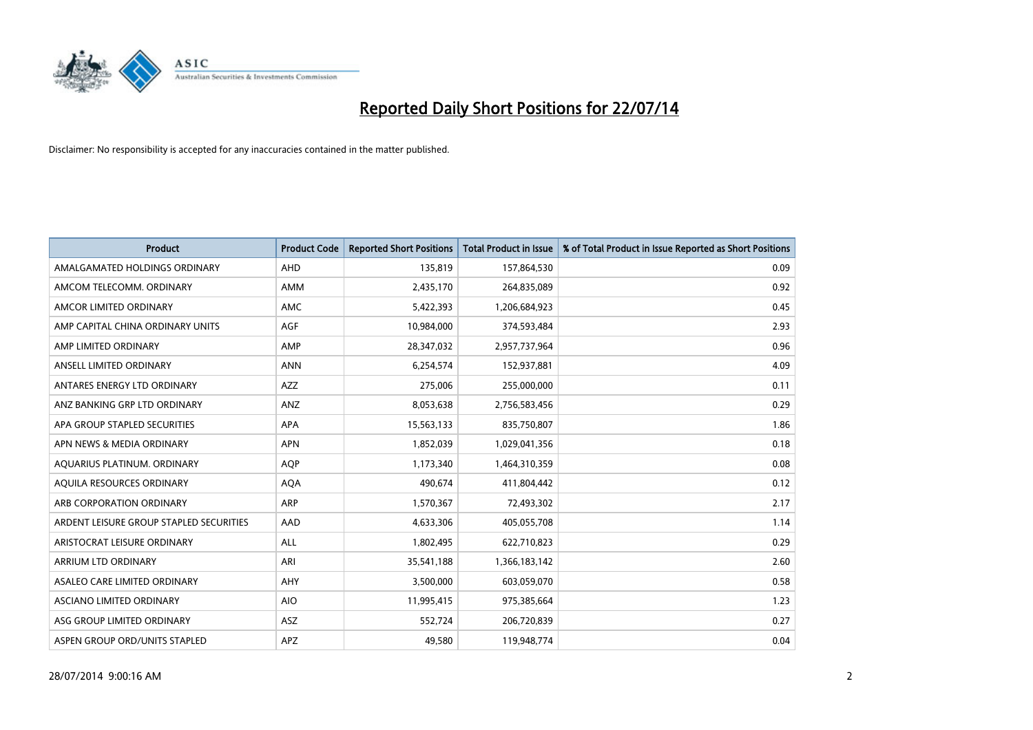

| <b>Product</b>                          | <b>Product Code</b> | <b>Reported Short Positions</b> | <b>Total Product in Issue</b> | % of Total Product in Issue Reported as Short Positions |
|-----------------------------------------|---------------------|---------------------------------|-------------------------------|---------------------------------------------------------|
| AMALGAMATED HOLDINGS ORDINARY           | AHD                 | 135,819                         | 157,864,530                   | 0.09                                                    |
| AMCOM TELECOMM. ORDINARY                | AMM                 | 2,435,170                       | 264,835,089                   | 0.92                                                    |
| AMCOR LIMITED ORDINARY                  | AMC                 | 5,422,393                       | 1,206,684,923                 | 0.45                                                    |
| AMP CAPITAL CHINA ORDINARY UNITS        | AGF                 | 10,984,000                      | 374,593,484                   | 2.93                                                    |
| AMP LIMITED ORDINARY                    | AMP                 | 28,347,032                      | 2,957,737,964                 | 0.96                                                    |
| ANSELL LIMITED ORDINARY                 | <b>ANN</b>          | 6,254,574                       | 152,937,881                   | 4.09                                                    |
| ANTARES ENERGY LTD ORDINARY             | AZZ                 | 275,006                         | 255,000,000                   | 0.11                                                    |
| ANZ BANKING GRP LTD ORDINARY            | ANZ                 | 8,053,638                       | 2,756,583,456                 | 0.29                                                    |
| APA GROUP STAPLED SECURITIES            | <b>APA</b>          | 15,563,133                      | 835,750,807                   | 1.86                                                    |
| APN NEWS & MEDIA ORDINARY               | <b>APN</b>          | 1,852,039                       | 1,029,041,356                 | 0.18                                                    |
| AQUARIUS PLATINUM. ORDINARY             | AQP                 | 1,173,340                       | 1,464,310,359                 | 0.08                                                    |
| AOUILA RESOURCES ORDINARY               | <b>AQA</b>          | 490,674                         | 411,804,442                   | 0.12                                                    |
| ARB CORPORATION ORDINARY                | ARP                 | 1,570,367                       | 72,493,302                    | 2.17                                                    |
| ARDENT LEISURE GROUP STAPLED SECURITIES | AAD                 | 4,633,306                       | 405,055,708                   | 1.14                                                    |
| ARISTOCRAT LEISURE ORDINARY             | ALL                 | 1,802,495                       | 622,710,823                   | 0.29                                                    |
| ARRIUM LTD ORDINARY                     | ARI                 | 35,541,188                      | 1,366,183,142                 | 2.60                                                    |
| ASALEO CARE LIMITED ORDINARY            | AHY                 | 3,500,000                       | 603,059,070                   | 0.58                                                    |
| ASCIANO LIMITED ORDINARY                | <b>AIO</b>          | 11,995,415                      | 975,385,664                   | 1.23                                                    |
| ASG GROUP LIMITED ORDINARY              | <b>ASZ</b>          | 552,724                         | 206,720,839                   | 0.27                                                    |
| ASPEN GROUP ORD/UNITS STAPLED           | <b>APZ</b>          | 49,580                          | 119,948,774                   | 0.04                                                    |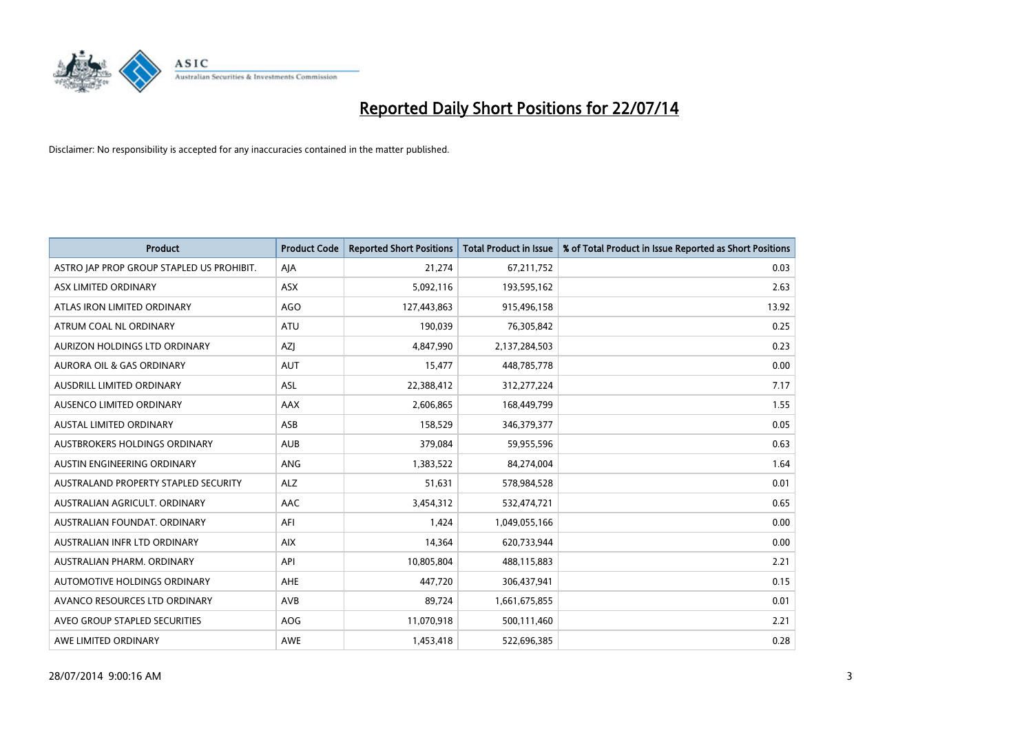

| <b>Product</b>                            | <b>Product Code</b> | <b>Reported Short Positions</b> | <b>Total Product in Issue</b> | % of Total Product in Issue Reported as Short Positions |
|-------------------------------------------|---------------------|---------------------------------|-------------------------------|---------------------------------------------------------|
| ASTRO JAP PROP GROUP STAPLED US PROHIBIT. | AJA                 | 21,274                          | 67,211,752                    | 0.03                                                    |
| ASX LIMITED ORDINARY                      | ASX                 | 5,092,116                       | 193,595,162                   | 2.63                                                    |
| ATLAS IRON LIMITED ORDINARY               | AGO                 | 127,443,863                     | 915,496,158                   | 13.92                                                   |
| ATRUM COAL NL ORDINARY                    | ATU                 | 190,039                         | 76,305,842                    | 0.25                                                    |
| AURIZON HOLDINGS LTD ORDINARY             | AZJ                 | 4,847,990                       | 2,137,284,503                 | 0.23                                                    |
| <b>AURORA OIL &amp; GAS ORDINARY</b>      | <b>AUT</b>          | 15,477                          | 448,785,778                   | 0.00                                                    |
| AUSDRILL LIMITED ORDINARY                 | ASL                 | 22,388,412                      | 312,277,224                   | 7.17                                                    |
| AUSENCO LIMITED ORDINARY                  | AAX                 | 2,606,865                       | 168,449,799                   | 1.55                                                    |
| AUSTAL LIMITED ORDINARY                   | ASB                 | 158,529                         | 346,379,377                   | 0.05                                                    |
| AUSTBROKERS HOLDINGS ORDINARY             | <b>AUB</b>          | 379,084                         | 59,955,596                    | 0.63                                                    |
| AUSTIN ENGINEERING ORDINARY               | ANG                 | 1,383,522                       | 84,274,004                    | 1.64                                                    |
| AUSTRALAND PROPERTY STAPLED SECURITY      | <b>ALZ</b>          | 51,631                          | 578,984,528                   | 0.01                                                    |
| AUSTRALIAN AGRICULT. ORDINARY             | AAC                 | 3,454,312                       | 532,474,721                   | 0.65                                                    |
| AUSTRALIAN FOUNDAT, ORDINARY              | AFI                 | 1,424                           | 1,049,055,166                 | 0.00                                                    |
| AUSTRALIAN INFR LTD ORDINARY              | <b>AIX</b>          | 14,364                          | 620,733,944                   | 0.00                                                    |
| AUSTRALIAN PHARM, ORDINARY                | API                 | 10,805,804                      | 488,115,883                   | 2.21                                                    |
| AUTOMOTIVE HOLDINGS ORDINARY              | AHE                 | 447,720                         | 306,437,941                   | 0.15                                                    |
| AVANCO RESOURCES LTD ORDINARY             | AVB                 | 89,724                          | 1,661,675,855                 | 0.01                                                    |
| AVEO GROUP STAPLED SECURITIES             | AOG                 | 11,070,918                      | 500,111,460                   | 2.21                                                    |
| AWE LIMITED ORDINARY                      | <b>AWE</b>          | 1,453,418                       | 522,696,385                   | 0.28                                                    |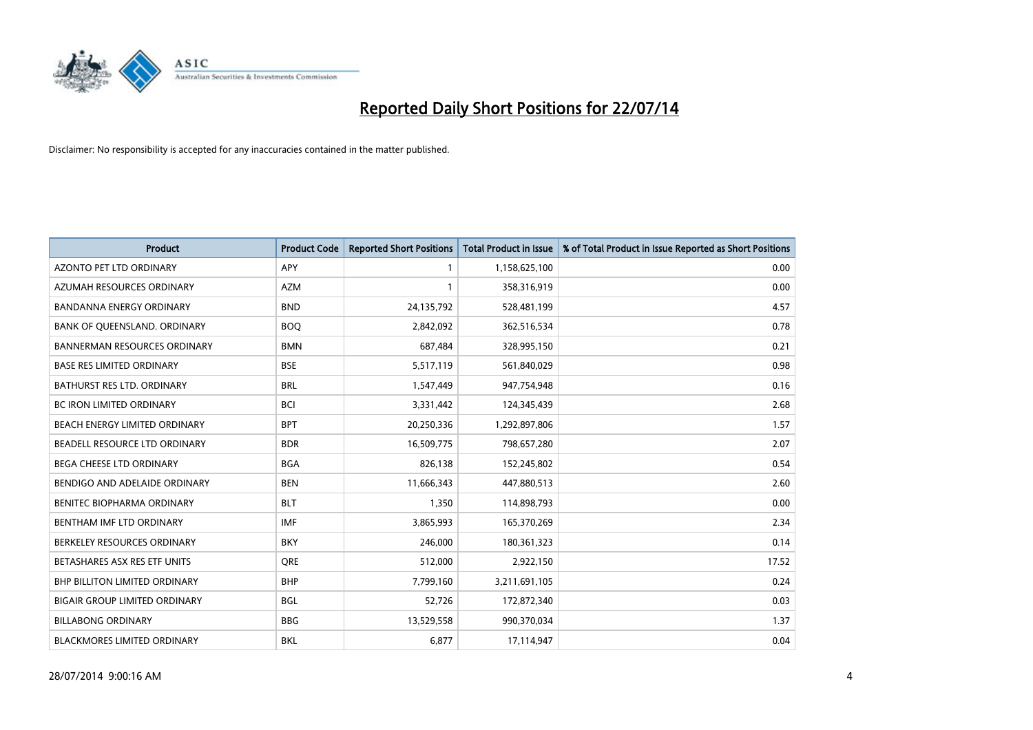

| Product                              | <b>Product Code</b> | <b>Reported Short Positions</b> | <b>Total Product in Issue</b> | % of Total Product in Issue Reported as Short Positions |
|--------------------------------------|---------------------|---------------------------------|-------------------------------|---------------------------------------------------------|
| <b>AZONTO PET LTD ORDINARY</b>       | <b>APY</b>          | $\mathbf{1}$                    | 1,158,625,100                 | 0.00                                                    |
| AZUMAH RESOURCES ORDINARY            | <b>AZM</b>          | 1                               | 358,316,919                   | 0.00                                                    |
| BANDANNA ENERGY ORDINARY             | <b>BND</b>          | 24,135,792                      | 528,481,199                   | 4.57                                                    |
| BANK OF QUEENSLAND. ORDINARY         | <b>BOQ</b>          | 2,842,092                       | 362,516,534                   | 0.78                                                    |
| <b>BANNERMAN RESOURCES ORDINARY</b>  | <b>BMN</b>          | 687,484                         | 328,995,150                   | 0.21                                                    |
| <b>BASE RES LIMITED ORDINARY</b>     | <b>BSE</b>          | 5,517,119                       | 561,840,029                   | 0.98                                                    |
| BATHURST RES LTD. ORDINARY           | <b>BRL</b>          | 1,547,449                       | 947,754,948                   | 0.16                                                    |
| BC IRON LIMITED ORDINARY             | <b>BCI</b>          | 3,331,442                       | 124,345,439                   | 2.68                                                    |
| <b>BEACH ENERGY LIMITED ORDINARY</b> | <b>BPT</b>          | 20,250,336                      | 1,292,897,806                 | 1.57                                                    |
| BEADELL RESOURCE LTD ORDINARY        | <b>BDR</b>          | 16,509,775                      | 798,657,280                   | 2.07                                                    |
| BEGA CHEESE LTD ORDINARY             | <b>BGA</b>          | 826,138                         | 152,245,802                   | 0.54                                                    |
| BENDIGO AND ADELAIDE ORDINARY        | <b>BEN</b>          | 11,666,343                      | 447,880,513                   | 2.60                                                    |
| BENITEC BIOPHARMA ORDINARY           | <b>BLT</b>          | 1,350                           | 114,898,793                   | 0.00                                                    |
| BENTHAM IMF LTD ORDINARY             | IMF                 | 3,865,993                       | 165,370,269                   | 2.34                                                    |
| BERKELEY RESOURCES ORDINARY          | <b>BKY</b>          | 246,000                         | 180,361,323                   | 0.14                                                    |
| BETASHARES ASX RES ETF UNITS         | <b>ORE</b>          | 512,000                         | 2,922,150                     | 17.52                                                   |
| <b>BHP BILLITON LIMITED ORDINARY</b> | <b>BHP</b>          | 7,799,160                       | 3,211,691,105                 | 0.24                                                    |
| <b>BIGAIR GROUP LIMITED ORDINARY</b> | <b>BGL</b>          | 52,726                          | 172,872,340                   | 0.03                                                    |
| <b>BILLABONG ORDINARY</b>            | <b>BBG</b>          | 13,529,558                      | 990,370,034                   | 1.37                                                    |
| <b>BLACKMORES LIMITED ORDINARY</b>   | <b>BKL</b>          | 6,877                           | 17,114,947                    | 0.04                                                    |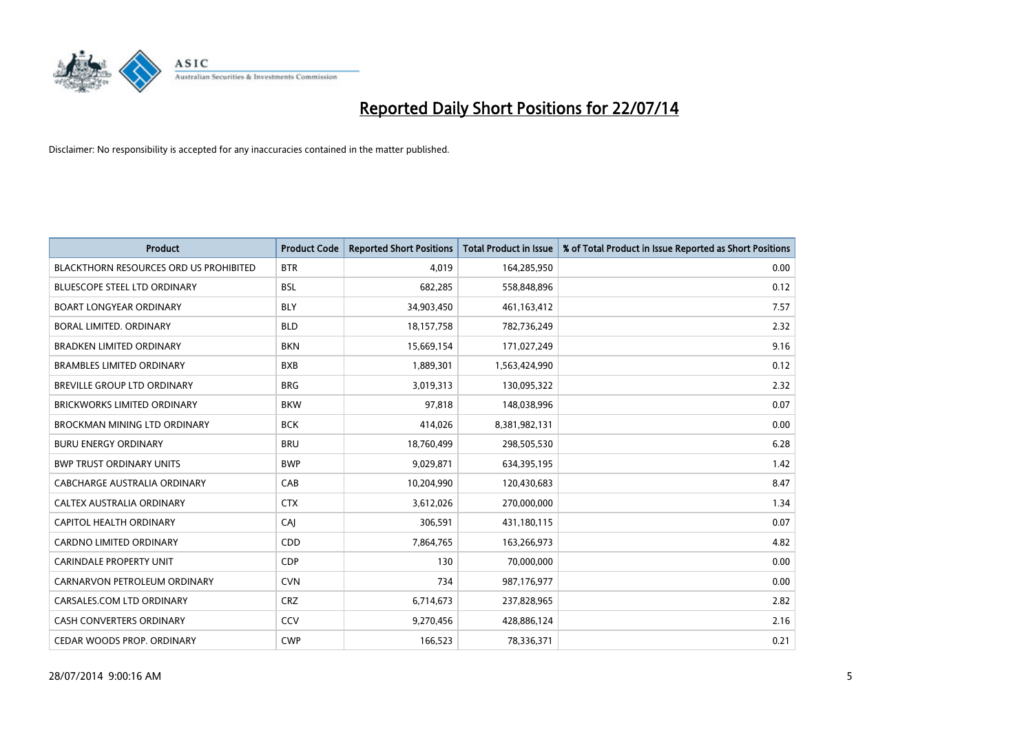

| <b>Product</b>                                | <b>Product Code</b> | <b>Reported Short Positions</b> | <b>Total Product in Issue</b> | % of Total Product in Issue Reported as Short Positions |
|-----------------------------------------------|---------------------|---------------------------------|-------------------------------|---------------------------------------------------------|
| <b>BLACKTHORN RESOURCES ORD US PROHIBITED</b> | <b>BTR</b>          | 4.019                           | 164,285,950                   | 0.00                                                    |
| BLUESCOPE STEEL LTD ORDINARY                  | <b>BSL</b>          | 682,285                         | 558,848,896                   | 0.12                                                    |
| <b>BOART LONGYEAR ORDINARY</b>                | <b>BLY</b>          | 34,903,450                      | 461,163,412                   | 7.57                                                    |
| BORAL LIMITED. ORDINARY                       | <b>BLD</b>          | 18, 157, 758                    | 782,736,249                   | 2.32                                                    |
| <b>BRADKEN LIMITED ORDINARY</b>               | <b>BKN</b>          | 15,669,154                      | 171,027,249                   | 9.16                                                    |
| <b>BRAMBLES LIMITED ORDINARY</b>              | <b>BXB</b>          | 1,889,301                       | 1,563,424,990                 | 0.12                                                    |
| <b>BREVILLE GROUP LTD ORDINARY</b>            | <b>BRG</b>          | 3,019,313                       | 130,095,322                   | 2.32                                                    |
| <b>BRICKWORKS LIMITED ORDINARY</b>            | <b>BKW</b>          | 97,818                          | 148,038,996                   | 0.07                                                    |
| <b>BROCKMAN MINING LTD ORDINARY</b>           | <b>BCK</b>          | 414,026                         | 8,381,982,131                 | 0.00                                                    |
| <b>BURU ENERGY ORDINARY</b>                   | <b>BRU</b>          | 18,760,499                      | 298,505,530                   | 6.28                                                    |
| <b>BWP TRUST ORDINARY UNITS</b>               | <b>BWP</b>          | 9,029,871                       | 634,395,195                   | 1.42                                                    |
| CABCHARGE AUSTRALIA ORDINARY                  | CAB                 | 10,204,990                      | 120,430,683                   | 8.47                                                    |
| CALTEX AUSTRALIA ORDINARY                     | <b>CTX</b>          | 3,612,026                       | 270,000,000                   | 1.34                                                    |
| CAPITOL HEALTH ORDINARY                       | CAJ                 | 306,591                         | 431,180,115                   | 0.07                                                    |
| <b>CARDNO LIMITED ORDINARY</b>                | CDD                 | 7,864,765                       | 163,266,973                   | 4.82                                                    |
| <b>CARINDALE PROPERTY UNIT</b>                | <b>CDP</b>          | 130                             | 70,000,000                    | 0.00                                                    |
| CARNARVON PETROLEUM ORDINARY                  | <b>CVN</b>          | 734                             | 987,176,977                   | 0.00                                                    |
| CARSALES.COM LTD ORDINARY                     | <b>CRZ</b>          | 6,714,673                       | 237,828,965                   | 2.82                                                    |
| <b>CASH CONVERTERS ORDINARY</b>               | CCV                 | 9,270,456                       | 428,886,124                   | 2.16                                                    |
| CEDAR WOODS PROP. ORDINARY                    | <b>CWP</b>          | 166,523                         | 78,336,371                    | 0.21                                                    |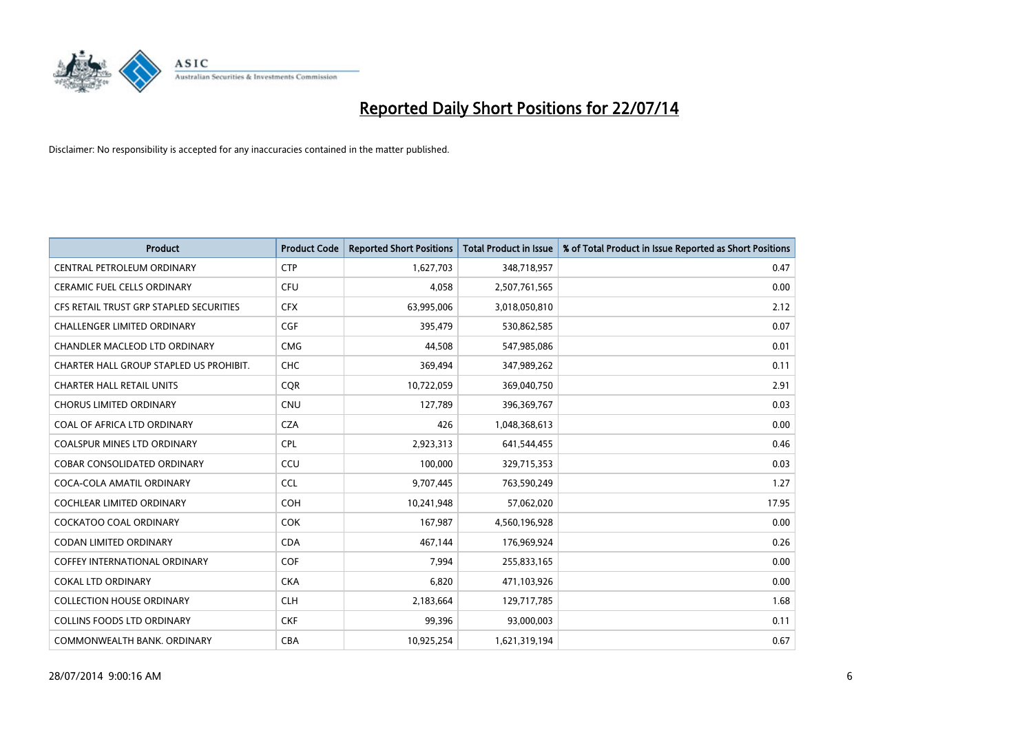

| <b>Product</b>                          | <b>Product Code</b> | <b>Reported Short Positions</b> | <b>Total Product in Issue</b> | % of Total Product in Issue Reported as Short Positions |
|-----------------------------------------|---------------------|---------------------------------|-------------------------------|---------------------------------------------------------|
| CENTRAL PETROLEUM ORDINARY              | <b>CTP</b>          | 1,627,703                       | 348,718,957                   | 0.47                                                    |
| CERAMIC FUEL CELLS ORDINARY             | <b>CFU</b>          | 4,058                           | 2,507,761,565                 | 0.00                                                    |
| CFS RETAIL TRUST GRP STAPLED SECURITIES | <b>CFX</b>          | 63,995,006                      | 3,018,050,810                 | 2.12                                                    |
| <b>CHALLENGER LIMITED ORDINARY</b>      | <b>CGF</b>          | 395,479                         | 530,862,585                   | 0.07                                                    |
| <b>CHANDLER MACLEOD LTD ORDINARY</b>    | <b>CMG</b>          | 44,508                          | 547,985,086                   | 0.01                                                    |
| CHARTER HALL GROUP STAPLED US PROHIBIT. | <b>CHC</b>          | 369,494                         | 347,989,262                   | 0.11                                                    |
| <b>CHARTER HALL RETAIL UNITS</b>        | <b>CQR</b>          | 10,722,059                      | 369,040,750                   | 2.91                                                    |
| <b>CHORUS LIMITED ORDINARY</b>          | <b>CNU</b>          | 127,789                         | 396,369,767                   | 0.03                                                    |
| COAL OF AFRICA LTD ORDINARY             | <b>CZA</b>          | 426                             | 1,048,368,613                 | 0.00                                                    |
| <b>COALSPUR MINES LTD ORDINARY</b>      | <b>CPL</b>          | 2,923,313                       | 641,544,455                   | 0.46                                                    |
| <b>COBAR CONSOLIDATED ORDINARY</b>      | CCU                 | 100,000                         | 329,715,353                   | 0.03                                                    |
| COCA-COLA AMATIL ORDINARY               | <b>CCL</b>          | 9,707,445                       | 763,590,249                   | 1.27                                                    |
| <b>COCHLEAR LIMITED ORDINARY</b>        | <b>COH</b>          | 10,241,948                      | 57,062,020                    | 17.95                                                   |
| <b>COCKATOO COAL ORDINARY</b>           | <b>COK</b>          | 167,987                         | 4,560,196,928                 | 0.00                                                    |
| <b>CODAN LIMITED ORDINARY</b>           | <b>CDA</b>          | 467,144                         | 176,969,924                   | 0.26                                                    |
| <b>COFFEY INTERNATIONAL ORDINARY</b>    | <b>COF</b>          | 7,994                           | 255,833,165                   | 0.00                                                    |
| <b>COKAL LTD ORDINARY</b>               | <b>CKA</b>          | 6,820                           | 471,103,926                   | 0.00                                                    |
| <b>COLLECTION HOUSE ORDINARY</b>        | <b>CLH</b>          | 2,183,664                       | 129,717,785                   | 1.68                                                    |
| <b>COLLINS FOODS LTD ORDINARY</b>       | <b>CKF</b>          | 99,396                          | 93,000,003                    | 0.11                                                    |
| COMMONWEALTH BANK, ORDINARY             | <b>CBA</b>          | 10,925,254                      | 1,621,319,194                 | 0.67                                                    |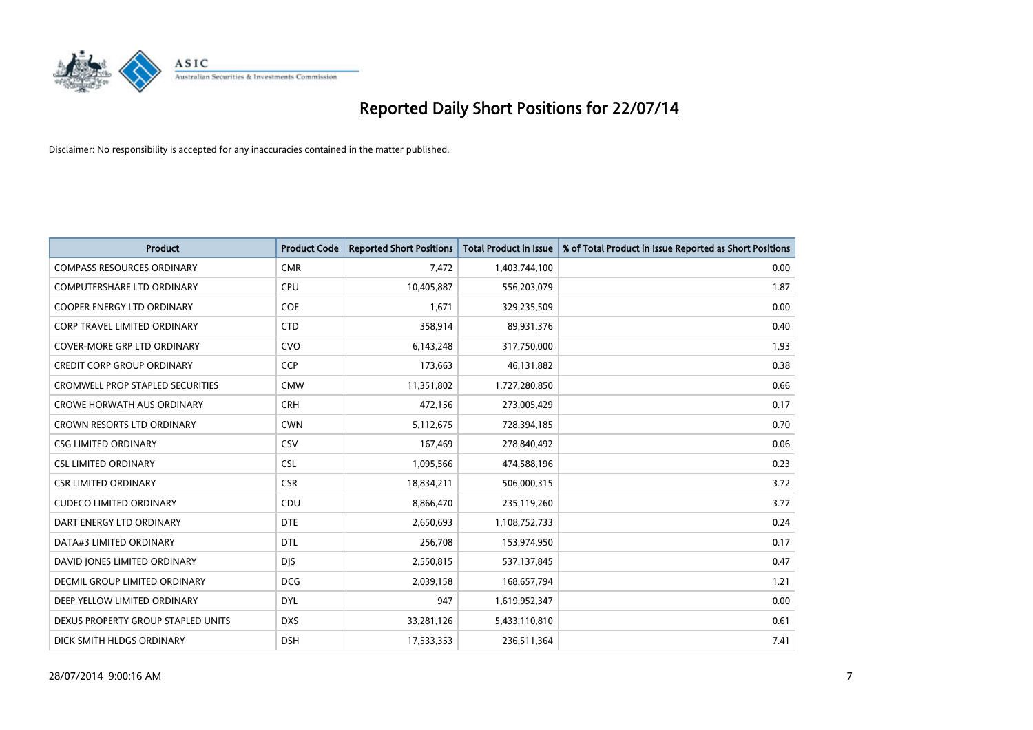

| <b>Product</b>                          | <b>Product Code</b> | <b>Reported Short Positions</b> | <b>Total Product in Issue</b> | % of Total Product in Issue Reported as Short Positions |
|-----------------------------------------|---------------------|---------------------------------|-------------------------------|---------------------------------------------------------|
| <b>COMPASS RESOURCES ORDINARY</b>       | <b>CMR</b>          | 7,472                           | 1,403,744,100                 | 0.00                                                    |
| COMPUTERSHARE LTD ORDINARY              | <b>CPU</b>          | 10,405,887                      | 556,203,079                   | 1.87                                                    |
| COOPER ENERGY LTD ORDINARY              | <b>COE</b>          | 1,671                           | 329,235,509                   | 0.00                                                    |
| CORP TRAVEL LIMITED ORDINARY            | <b>CTD</b>          | 358,914                         | 89,931,376                    | 0.40                                                    |
| <b>COVER-MORE GRP LTD ORDINARY</b>      | <b>CVO</b>          | 6,143,248                       | 317,750,000                   | 1.93                                                    |
| <b>CREDIT CORP GROUP ORDINARY</b>       | <b>CCP</b>          | 173,663                         | 46,131,882                    | 0.38                                                    |
| <b>CROMWELL PROP STAPLED SECURITIES</b> | <b>CMW</b>          | 11,351,802                      | 1,727,280,850                 | 0.66                                                    |
| <b>CROWE HORWATH AUS ORDINARY</b>       | <b>CRH</b>          | 472,156                         | 273,005,429                   | 0.17                                                    |
| <b>CROWN RESORTS LTD ORDINARY</b>       | <b>CWN</b>          | 5,112,675                       | 728,394,185                   | 0.70                                                    |
| <b>CSG LIMITED ORDINARY</b>             | CSV                 | 167,469                         | 278,840,492                   | 0.06                                                    |
| <b>CSL LIMITED ORDINARY</b>             | <b>CSL</b>          | 1,095,566                       | 474,588,196                   | 0.23                                                    |
| <b>CSR LIMITED ORDINARY</b>             | <b>CSR</b>          | 18,834,211                      | 506,000,315                   | 3.72                                                    |
| <b>CUDECO LIMITED ORDINARY</b>          | CDU                 | 8,866,470                       | 235,119,260                   | 3.77                                                    |
| DART ENERGY LTD ORDINARY                | <b>DTE</b>          | 2,650,693                       | 1,108,752,733                 | 0.24                                                    |
| DATA#3 LIMITED ORDINARY                 | <b>DTL</b>          | 256,708                         | 153,974,950                   | 0.17                                                    |
| DAVID JONES LIMITED ORDINARY            | <b>DJS</b>          | 2,550,815                       | 537,137,845                   | 0.47                                                    |
| <b>DECMIL GROUP LIMITED ORDINARY</b>    | <b>DCG</b>          | 2,039,158                       | 168,657,794                   | 1.21                                                    |
| DEEP YELLOW LIMITED ORDINARY            | <b>DYL</b>          | 947                             | 1,619,952,347                 | 0.00                                                    |
| DEXUS PROPERTY GROUP STAPLED UNITS      | <b>DXS</b>          | 33,281,126                      | 5,433,110,810                 | 0.61                                                    |
| DICK SMITH HLDGS ORDINARY               | <b>DSH</b>          | 17,533,353                      | 236,511,364                   | 7.41                                                    |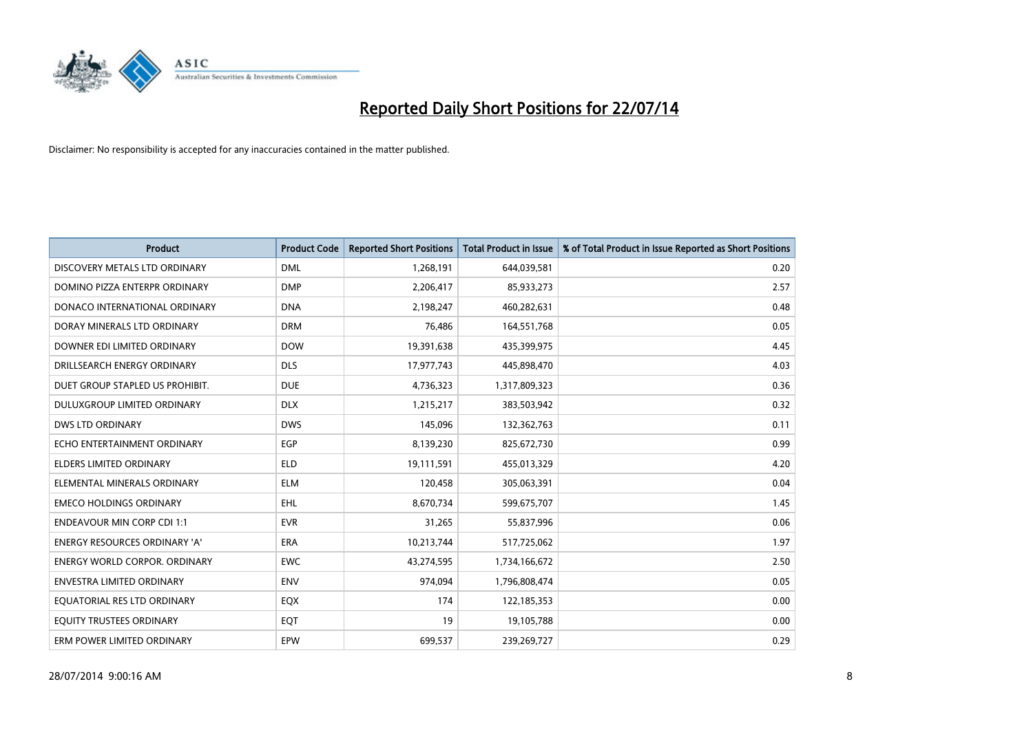

| <b>Product</b>                       | <b>Product Code</b> | <b>Reported Short Positions</b> | <b>Total Product in Issue</b> | % of Total Product in Issue Reported as Short Positions |
|--------------------------------------|---------------------|---------------------------------|-------------------------------|---------------------------------------------------------|
| DISCOVERY METALS LTD ORDINARY        | <b>DML</b>          | 1,268,191                       | 644,039,581                   | 0.20                                                    |
| DOMINO PIZZA ENTERPR ORDINARY        | <b>DMP</b>          | 2,206,417                       | 85,933,273                    | 2.57                                                    |
| DONACO INTERNATIONAL ORDINARY        | <b>DNA</b>          | 2,198,247                       | 460,282,631                   | 0.48                                                    |
| DORAY MINERALS LTD ORDINARY          | <b>DRM</b>          | 76,486                          | 164,551,768                   | 0.05                                                    |
| DOWNER EDI LIMITED ORDINARY          | <b>DOW</b>          | 19,391,638                      | 435,399,975                   | 4.45                                                    |
| DRILLSEARCH ENERGY ORDINARY          | <b>DLS</b>          | 17,977,743                      | 445,898,470                   | 4.03                                                    |
| DUET GROUP STAPLED US PROHIBIT.      | <b>DUE</b>          | 4,736,323                       | 1,317,809,323                 | 0.36                                                    |
| DULUXGROUP LIMITED ORDINARY          | <b>DLX</b>          | 1,215,217                       | 383,503,942                   | 0.32                                                    |
| DWS LTD ORDINARY                     | <b>DWS</b>          | 145,096                         | 132,362,763                   | 0.11                                                    |
| ECHO ENTERTAINMENT ORDINARY          | EGP                 | 8,139,230                       | 825,672,730                   | 0.99                                                    |
| <b>ELDERS LIMITED ORDINARY</b>       | <b>ELD</b>          | 19,111,591                      | 455,013,329                   | 4.20                                                    |
| ELEMENTAL MINERALS ORDINARY          | ELM                 | 120,458                         | 305,063,391                   | 0.04                                                    |
| <b>EMECO HOLDINGS ORDINARY</b>       | EHL                 | 8,670,734                       | 599,675,707                   | 1.45                                                    |
| <b>ENDEAVOUR MIN CORP CDI 1:1</b>    | <b>EVR</b>          | 31,265                          | 55,837,996                    | 0.06                                                    |
| ENERGY RESOURCES ORDINARY 'A'        | <b>ERA</b>          | 10,213,744                      | 517,725,062                   | 1.97                                                    |
| <b>ENERGY WORLD CORPOR, ORDINARY</b> | <b>EWC</b>          | 43,274,595                      | 1,734,166,672                 | 2.50                                                    |
| <b>ENVESTRA LIMITED ORDINARY</b>     | <b>ENV</b>          | 974,094                         | 1,796,808,474                 | 0.05                                                    |
| EQUATORIAL RES LTD ORDINARY          | EQX                 | 174                             | 122,185,353                   | 0.00                                                    |
| EQUITY TRUSTEES ORDINARY             | EQT                 | 19                              | 19,105,788                    | 0.00                                                    |
| ERM POWER LIMITED ORDINARY           | EPW                 | 699,537                         | 239,269,727                   | 0.29                                                    |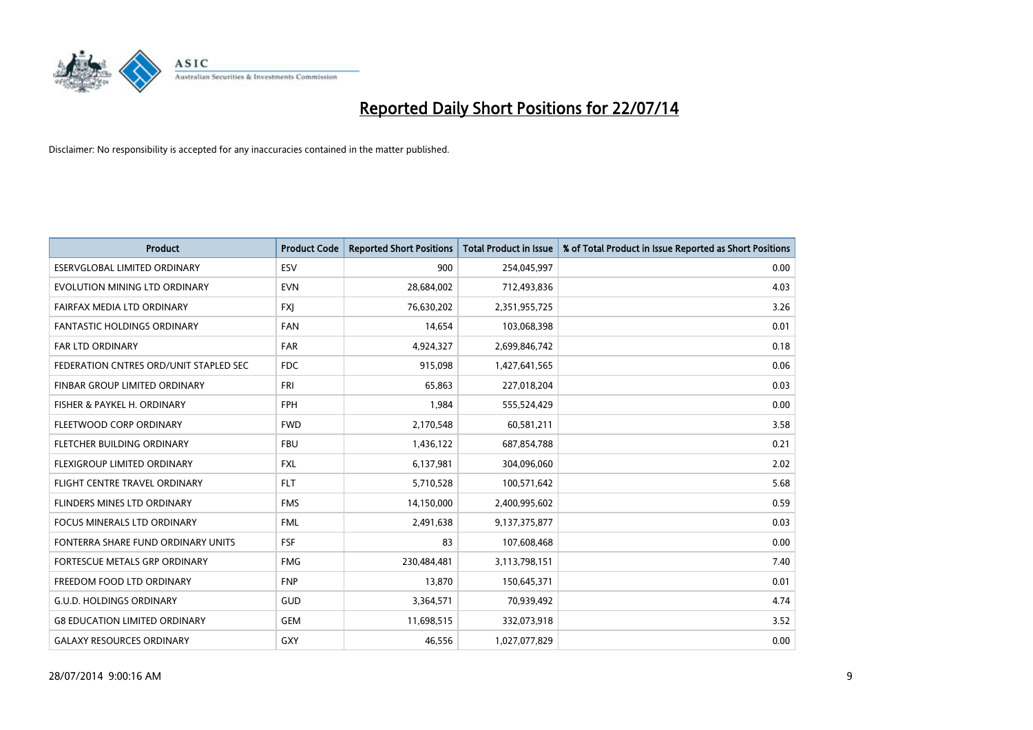

| <b>Product</b>                         | <b>Product Code</b> | <b>Reported Short Positions</b> | <b>Total Product in Issue</b> | % of Total Product in Issue Reported as Short Positions |
|----------------------------------------|---------------------|---------------------------------|-------------------------------|---------------------------------------------------------|
| <b>ESERVGLOBAL LIMITED ORDINARY</b>    | ESV                 | 900                             | 254,045,997                   | 0.00                                                    |
| EVOLUTION MINING LTD ORDINARY          | <b>EVN</b>          | 28,684,002                      | 712,493,836                   | 4.03                                                    |
| FAIRFAX MEDIA LTD ORDINARY             | FXJ                 | 76,630,202                      | 2,351,955,725                 | 3.26                                                    |
| <b>FANTASTIC HOLDINGS ORDINARY</b>     | <b>FAN</b>          | 14,654                          | 103,068,398                   | 0.01                                                    |
| <b>FAR LTD ORDINARY</b>                | <b>FAR</b>          | 4,924,327                       | 2,699,846,742                 | 0.18                                                    |
| FEDERATION CNTRES ORD/UNIT STAPLED SEC | <b>FDC</b>          | 915,098                         | 1,427,641,565                 | 0.06                                                    |
| <b>FINBAR GROUP LIMITED ORDINARY</b>   | <b>FRI</b>          | 65,863                          | 227,018,204                   | 0.03                                                    |
| FISHER & PAYKEL H. ORDINARY            | <b>FPH</b>          | 1,984                           | 555,524,429                   | 0.00                                                    |
| FLEETWOOD CORP ORDINARY                | <b>FWD</b>          | 2,170,548                       | 60,581,211                    | 3.58                                                    |
| FLETCHER BUILDING ORDINARY             | <b>FBU</b>          | 1,436,122                       | 687,854,788                   | 0.21                                                    |
| FLEXIGROUP LIMITED ORDINARY            | <b>FXL</b>          | 6,137,981                       | 304,096,060                   | 2.02                                                    |
| <b>FLIGHT CENTRE TRAVEL ORDINARY</b>   | <b>FLT</b>          | 5,710,528                       | 100,571,642                   | 5.68                                                    |
| FLINDERS MINES LTD ORDINARY            | <b>FMS</b>          | 14,150,000                      | 2,400,995,602                 | 0.59                                                    |
| <b>FOCUS MINERALS LTD ORDINARY</b>     | <b>FML</b>          | 2,491,638                       | 9,137,375,877                 | 0.03                                                    |
| FONTERRA SHARE FUND ORDINARY UNITS     | <b>FSF</b>          | 83                              | 107,608,468                   | 0.00                                                    |
| FORTESCUE METALS GRP ORDINARY          | <b>FMG</b>          | 230,484,481                     | 3,113,798,151                 | 7.40                                                    |
| FREEDOM FOOD LTD ORDINARY              | <b>FNP</b>          | 13,870                          | 150,645,371                   | 0.01                                                    |
| <b>G.U.D. HOLDINGS ORDINARY</b>        | GUD                 | 3,364,571                       | 70,939,492                    | 4.74                                                    |
| <b>G8 EDUCATION LIMITED ORDINARY</b>   | <b>GEM</b>          | 11,698,515                      | 332,073,918                   | 3.52                                                    |
| <b>GALAXY RESOURCES ORDINARY</b>       | GXY                 | 46,556                          | 1,027,077,829                 | 0.00                                                    |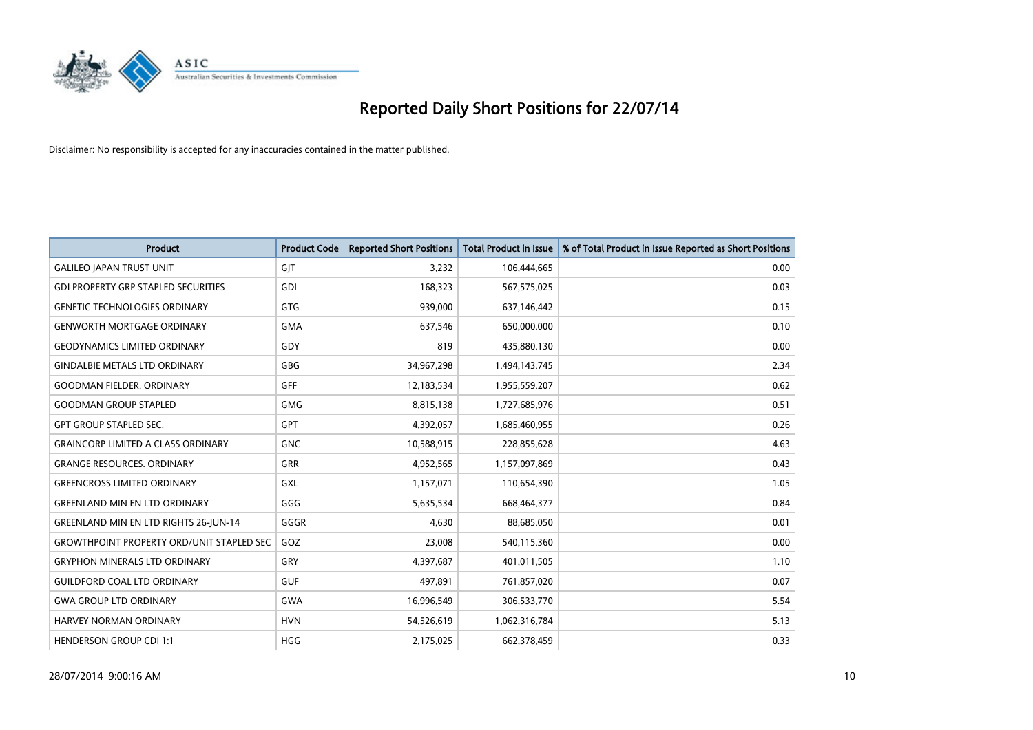

| <b>Product</b>                                   | <b>Product Code</b> | <b>Reported Short Positions</b> | <b>Total Product in Issue</b> | % of Total Product in Issue Reported as Short Positions |
|--------------------------------------------------|---------------------|---------------------------------|-------------------------------|---------------------------------------------------------|
| <b>GALILEO JAPAN TRUST UNIT</b>                  | GJT                 | 3,232                           | 106,444,665                   | 0.00                                                    |
| <b>GDI PROPERTY GRP STAPLED SECURITIES</b>       | GDI                 | 168,323                         | 567,575,025                   | 0.03                                                    |
| <b>GENETIC TECHNOLOGIES ORDINARY</b>             | GTG                 | 939,000                         | 637,146,442                   | 0.15                                                    |
| <b>GENWORTH MORTGAGE ORDINARY</b>                | <b>GMA</b>          | 637,546                         | 650,000,000                   | 0.10                                                    |
| <b>GEODYNAMICS LIMITED ORDINARY</b>              | GDY                 | 819                             | 435,880,130                   | 0.00                                                    |
| <b>GINDALBIE METALS LTD ORDINARY</b>             | GBG                 | 34,967,298                      | 1,494,143,745                 | 2.34                                                    |
| <b>GOODMAN FIELDER. ORDINARY</b>                 | <b>GFF</b>          | 12,183,534                      | 1,955,559,207                 | 0.62                                                    |
| <b>GOODMAN GROUP STAPLED</b>                     | GMG                 | 8,815,138                       | 1,727,685,976                 | 0.51                                                    |
| <b>GPT GROUP STAPLED SEC.</b>                    | <b>GPT</b>          | 4,392,057                       | 1,685,460,955                 | 0.26                                                    |
| <b>GRAINCORP LIMITED A CLASS ORDINARY</b>        | <b>GNC</b>          | 10,588,915                      | 228,855,628                   | 4.63                                                    |
| <b>GRANGE RESOURCES. ORDINARY</b>                | GRR                 | 4,952,565                       | 1,157,097,869                 | 0.43                                                    |
| <b>GREENCROSS LIMITED ORDINARY</b>               | GXL                 | 1,157,071                       | 110,654,390                   | 1.05                                                    |
| <b>GREENLAND MIN EN LTD ORDINARY</b>             | GGG                 | 5,635,534                       | 668,464,377                   | 0.84                                                    |
| <b>GREENLAND MIN EN LTD RIGHTS 26-JUN-14</b>     | GGGR                | 4,630                           | 88,685,050                    | 0.01                                                    |
| <b>GROWTHPOINT PROPERTY ORD/UNIT STAPLED SEC</b> | GOZ                 | 23,008                          | 540,115,360                   | 0.00                                                    |
| <b>GRYPHON MINERALS LTD ORDINARY</b>             | GRY                 | 4,397,687                       | 401,011,505                   | 1.10                                                    |
| <b>GUILDFORD COAL LTD ORDINARY</b>               | <b>GUF</b>          | 497,891                         | 761,857,020                   | 0.07                                                    |
| <b>GWA GROUP LTD ORDINARY</b>                    | <b>GWA</b>          | 16,996,549                      | 306,533,770                   | 5.54                                                    |
| <b>HARVEY NORMAN ORDINARY</b>                    | <b>HVN</b>          | 54,526,619                      | 1,062,316,784                 | 5.13                                                    |
| <b>HENDERSON GROUP CDI 1:1</b>                   | <b>HGG</b>          | 2,175,025                       | 662,378,459                   | 0.33                                                    |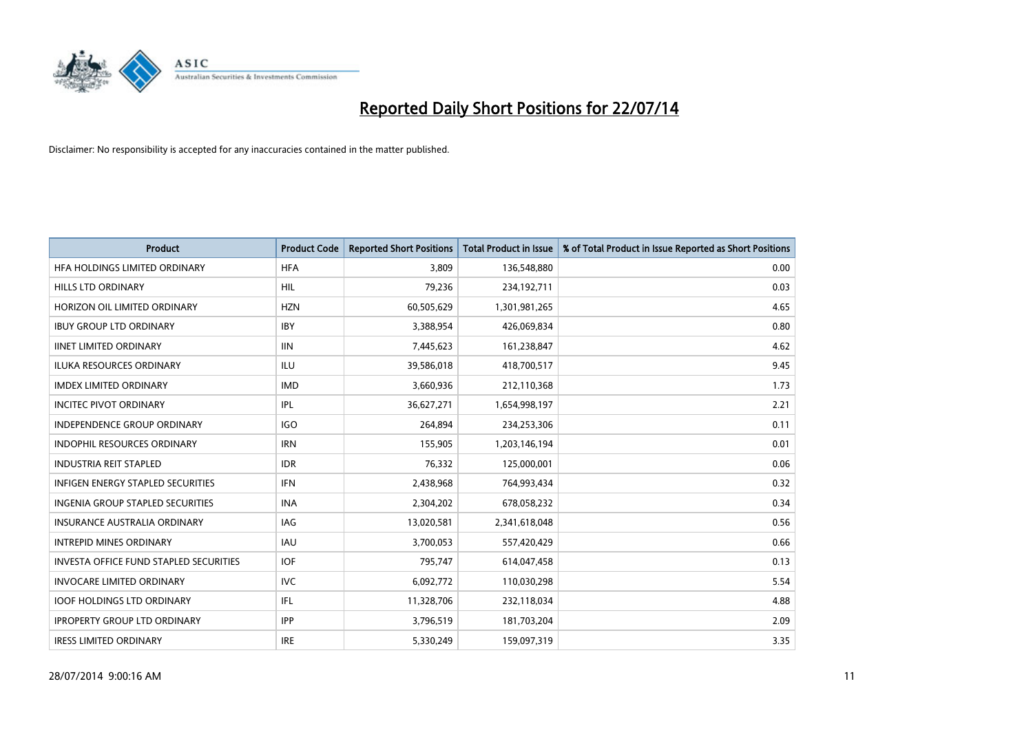

| <b>Product</b>                                | <b>Product Code</b> | <b>Reported Short Positions</b> | <b>Total Product in Issue</b> | % of Total Product in Issue Reported as Short Positions |
|-----------------------------------------------|---------------------|---------------------------------|-------------------------------|---------------------------------------------------------|
| HFA HOLDINGS LIMITED ORDINARY                 | <b>HFA</b>          | 3.809                           | 136,548,880                   | 0.00                                                    |
| HILLS LTD ORDINARY                            | HIL                 | 79,236                          | 234,192,711                   | 0.03                                                    |
| HORIZON OIL LIMITED ORDINARY                  | <b>HZN</b>          | 60,505,629                      | 1,301,981,265                 | 4.65                                                    |
| <b>IBUY GROUP LTD ORDINARY</b>                | <b>IBY</b>          | 3,388,954                       | 426,069,834                   | 0.80                                                    |
| <b>IINET LIMITED ORDINARY</b>                 | <b>IIN</b>          | 7,445,623                       | 161,238,847                   | 4.62                                                    |
| ILUKA RESOURCES ORDINARY                      | ILU                 | 39,586,018                      | 418,700,517                   | 9.45                                                    |
| <b>IMDEX LIMITED ORDINARY</b>                 | <b>IMD</b>          | 3,660,936                       | 212,110,368                   | 1.73                                                    |
| <b>INCITEC PIVOT ORDINARY</b>                 | IPL                 | 36,627,271                      | 1,654,998,197                 | 2.21                                                    |
| <b>INDEPENDENCE GROUP ORDINARY</b>            | <b>IGO</b>          | 264,894                         | 234,253,306                   | 0.11                                                    |
| <b>INDOPHIL RESOURCES ORDINARY</b>            | <b>IRN</b>          | 155,905                         | 1,203,146,194                 | 0.01                                                    |
| <b>INDUSTRIA REIT STAPLED</b>                 | <b>IDR</b>          | 76,332                          | 125,000,001                   | 0.06                                                    |
| <b>INFIGEN ENERGY STAPLED SECURITIES</b>      | IFN                 | 2,438,968                       | 764,993,434                   | 0.32                                                    |
| <b>INGENIA GROUP STAPLED SECURITIES</b>       | <b>INA</b>          | 2,304,202                       | 678,058,232                   | 0.34                                                    |
| <b>INSURANCE AUSTRALIA ORDINARY</b>           | IAG                 | 13,020,581                      | 2,341,618,048                 | 0.56                                                    |
| <b>INTREPID MINES ORDINARY</b>                | <b>IAU</b>          | 3,700,053                       | 557,420,429                   | 0.66                                                    |
| <b>INVESTA OFFICE FUND STAPLED SECURITIES</b> | <b>IOF</b>          | 795,747                         | 614,047,458                   | 0.13                                                    |
| <b>INVOCARE LIMITED ORDINARY</b>              | <b>IVC</b>          | 6,092,772                       | 110,030,298                   | 5.54                                                    |
| <b>IOOF HOLDINGS LTD ORDINARY</b>             | IFL                 | 11,328,706                      | 232,118,034                   | 4.88                                                    |
| <b>IPROPERTY GROUP LTD ORDINARY</b>           | <b>IPP</b>          | 3,796,519                       | 181,703,204                   | 2.09                                                    |
| <b>IRESS LIMITED ORDINARY</b>                 | <b>IRE</b>          | 5,330,249                       | 159,097,319                   | 3.35                                                    |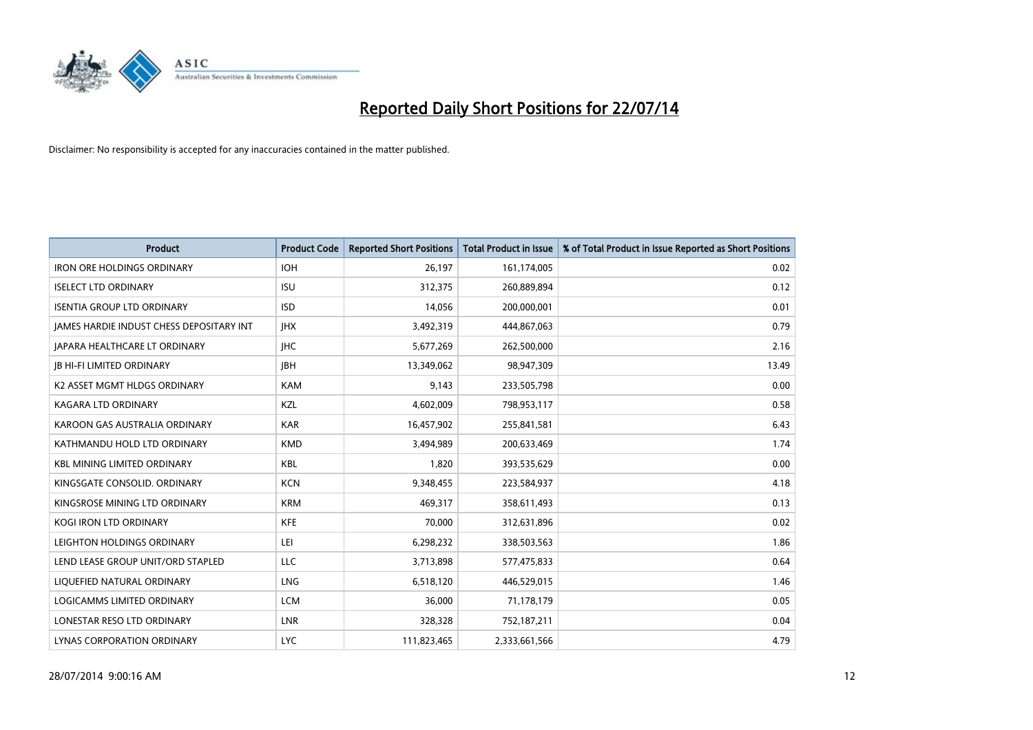

| <b>Product</b>                                  | <b>Product Code</b> | <b>Reported Short Positions</b> | <b>Total Product in Issue</b> | % of Total Product in Issue Reported as Short Positions |
|-------------------------------------------------|---------------------|---------------------------------|-------------------------------|---------------------------------------------------------|
| <b>IRON ORE HOLDINGS ORDINARY</b>               | <b>IOH</b>          | 26,197                          | 161,174,005                   | 0.02                                                    |
| <b>ISELECT LTD ORDINARY</b>                     | <b>ISU</b>          | 312,375                         | 260,889,894                   | 0.12                                                    |
| <b>ISENTIA GROUP LTD ORDINARY</b>               | <b>ISD</b>          | 14,056                          | 200,000,001                   | 0.01                                                    |
| <b>JAMES HARDIE INDUST CHESS DEPOSITARY INT</b> | <b>IHX</b>          | 3,492,319                       | 444,867,063                   | 0.79                                                    |
| JAPARA HEALTHCARE LT ORDINARY                   | <b>IHC</b>          | 5,677,269                       | 262,500,000                   | 2.16                                                    |
| <b>JB HI-FI LIMITED ORDINARY</b>                | <b>IBH</b>          | 13,349,062                      | 98,947,309                    | 13.49                                                   |
| K2 ASSET MGMT HLDGS ORDINARY                    | <b>KAM</b>          | 9,143                           | 233,505,798                   | 0.00                                                    |
| <b>KAGARA LTD ORDINARY</b>                      | KZL                 | 4,602,009                       | 798,953,117                   | 0.58                                                    |
| KAROON GAS AUSTRALIA ORDINARY                   | <b>KAR</b>          | 16,457,902                      | 255,841,581                   | 6.43                                                    |
| KATHMANDU HOLD LTD ORDINARY                     | <b>KMD</b>          | 3,494,989                       | 200,633,469                   | 1.74                                                    |
| <b>KBL MINING LIMITED ORDINARY</b>              | <b>KBL</b>          | 1,820                           | 393,535,629                   | 0.00                                                    |
| KINGSGATE CONSOLID. ORDINARY                    | <b>KCN</b>          | 9,348,455                       | 223,584,937                   | 4.18                                                    |
| KINGSROSE MINING LTD ORDINARY                   | <b>KRM</b>          | 469,317                         | 358,611,493                   | 0.13                                                    |
| <b>KOGI IRON LTD ORDINARY</b>                   | <b>KFE</b>          | 70,000                          | 312,631,896                   | 0.02                                                    |
| LEIGHTON HOLDINGS ORDINARY                      | LEI                 | 6,298,232                       | 338,503,563                   | 1.86                                                    |
| LEND LEASE GROUP UNIT/ORD STAPLED               | <b>LLC</b>          | 3,713,898                       | 577,475,833                   | 0.64                                                    |
| LIQUEFIED NATURAL ORDINARY                      | LNG                 | 6,518,120                       | 446,529,015                   | 1.46                                                    |
| LOGICAMMS LIMITED ORDINARY                      | <b>LCM</b>          | 36,000                          | 71,178,179                    | 0.05                                                    |
| LONESTAR RESO LTD ORDINARY                      | LNR                 | 328,328                         | 752,187,211                   | 0.04                                                    |
| LYNAS CORPORATION ORDINARY                      | <b>LYC</b>          | 111,823,465                     | 2,333,661,566                 | 4.79                                                    |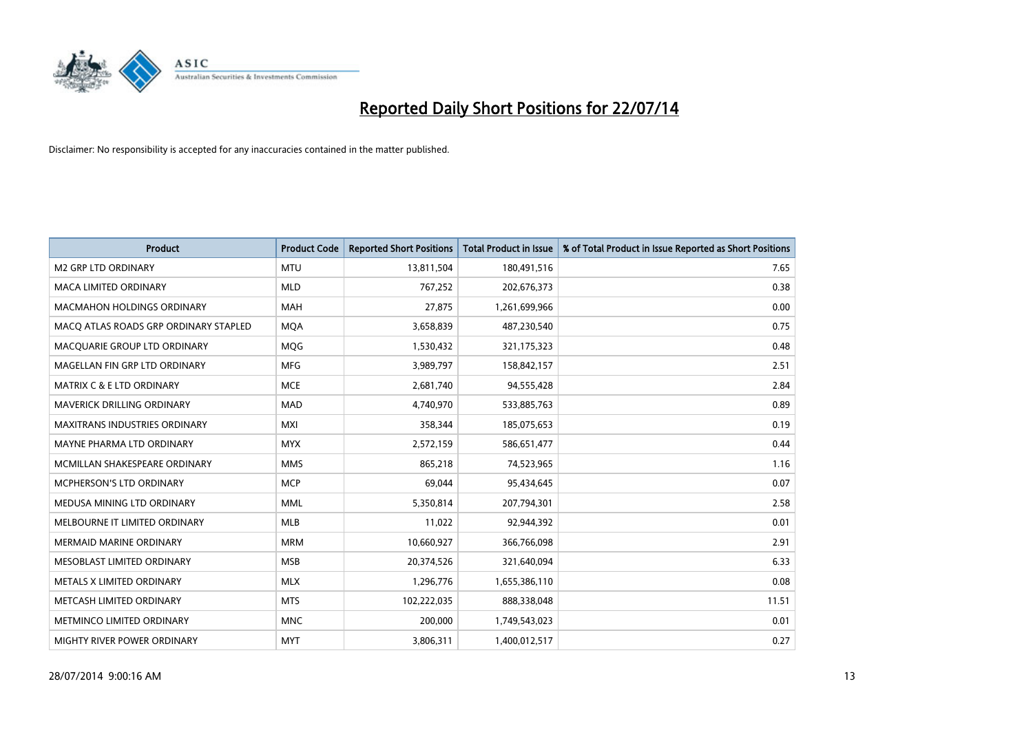

| <b>Product</b>                        | <b>Product Code</b> | <b>Reported Short Positions</b> | <b>Total Product in Issue</b> | % of Total Product in Issue Reported as Short Positions |
|---------------------------------------|---------------------|---------------------------------|-------------------------------|---------------------------------------------------------|
| <b>M2 GRP LTD ORDINARY</b>            | <b>MTU</b>          | 13,811,504                      | 180,491,516                   | 7.65                                                    |
| MACA LIMITED ORDINARY                 | <b>MLD</b>          | 767,252                         | 202,676,373                   | 0.38                                                    |
| <b>MACMAHON HOLDINGS ORDINARY</b>     | <b>MAH</b>          | 27,875                          | 1,261,699,966                 | 0.00                                                    |
| MACO ATLAS ROADS GRP ORDINARY STAPLED | <b>MQA</b>          | 3,658,839                       | 487,230,540                   | 0.75                                                    |
| MACQUARIE GROUP LTD ORDINARY          | MQG                 | 1,530,432                       | 321,175,323                   | 0.48                                                    |
| MAGELLAN FIN GRP LTD ORDINARY         | <b>MFG</b>          | 3,989,797                       | 158,842,157                   | 2.51                                                    |
| <b>MATRIX C &amp; E LTD ORDINARY</b>  | <b>MCE</b>          | 2,681,740                       | 94,555,428                    | 2.84                                                    |
| MAVERICK DRILLING ORDINARY            | <b>MAD</b>          | 4,740,970                       | 533,885,763                   | 0.89                                                    |
| <b>MAXITRANS INDUSTRIES ORDINARY</b>  | <b>MXI</b>          | 358,344                         | 185,075,653                   | 0.19                                                    |
| MAYNE PHARMA LTD ORDINARY             | <b>MYX</b>          | 2,572,159                       | 586,651,477                   | 0.44                                                    |
| MCMILLAN SHAKESPEARE ORDINARY         | <b>MMS</b>          | 865,218                         | 74,523,965                    | 1.16                                                    |
| <b>MCPHERSON'S LTD ORDINARY</b>       | <b>MCP</b>          | 69,044                          | 95,434,645                    | 0.07                                                    |
| MEDUSA MINING LTD ORDINARY            | <b>MML</b>          | 5,350,814                       | 207,794,301                   | 2.58                                                    |
| MELBOURNE IT LIMITED ORDINARY         | <b>MLB</b>          | 11,022                          | 92,944,392                    | 0.01                                                    |
| <b>MERMAID MARINE ORDINARY</b>        | <b>MRM</b>          | 10,660,927                      | 366,766,098                   | 2.91                                                    |
| MESOBLAST LIMITED ORDINARY            | <b>MSB</b>          | 20,374,526                      | 321,640,094                   | 6.33                                                    |
| METALS X LIMITED ORDINARY             | <b>MLX</b>          | 1,296,776                       | 1,655,386,110                 | 0.08                                                    |
| METCASH LIMITED ORDINARY              | <b>MTS</b>          | 102,222,035                     | 888,338,048                   | 11.51                                                   |
| METMINCO LIMITED ORDINARY             | <b>MNC</b>          | 200,000                         | 1,749,543,023                 | 0.01                                                    |
| MIGHTY RIVER POWER ORDINARY           | <b>MYT</b>          | 3,806,311                       | 1,400,012,517                 | 0.27                                                    |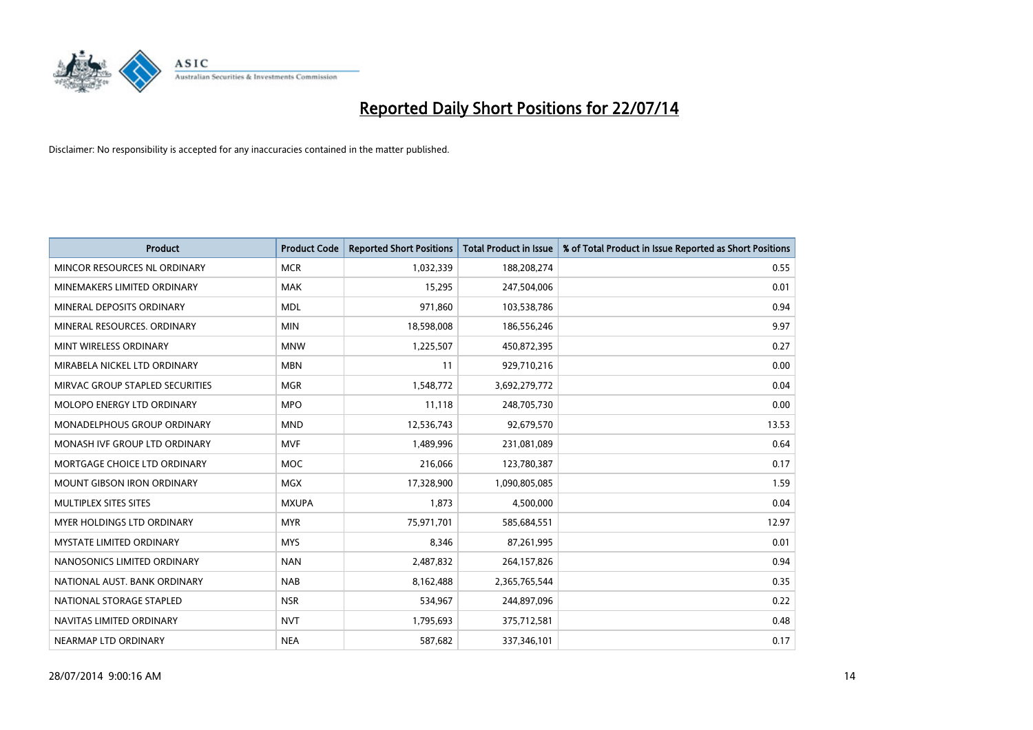

| <b>Product</b>                    | <b>Product Code</b> | <b>Reported Short Positions</b> | <b>Total Product in Issue</b> | % of Total Product in Issue Reported as Short Positions |
|-----------------------------------|---------------------|---------------------------------|-------------------------------|---------------------------------------------------------|
| MINCOR RESOURCES NL ORDINARY      | <b>MCR</b>          | 1,032,339                       | 188,208,274                   | 0.55                                                    |
| MINEMAKERS LIMITED ORDINARY       | <b>MAK</b>          | 15,295                          | 247,504,006                   | 0.01                                                    |
| MINERAL DEPOSITS ORDINARY         | <b>MDL</b>          | 971,860                         | 103,538,786                   | 0.94                                                    |
| MINERAL RESOURCES, ORDINARY       | <b>MIN</b>          | 18,598,008                      | 186,556,246                   | 9.97                                                    |
| MINT WIRELESS ORDINARY            | <b>MNW</b>          | 1,225,507                       | 450,872,395                   | 0.27                                                    |
| MIRABELA NICKEL LTD ORDINARY      | <b>MBN</b>          | 11                              | 929,710,216                   | 0.00                                                    |
| MIRVAC GROUP STAPLED SECURITIES   | <b>MGR</b>          | 1,548,772                       | 3,692,279,772                 | 0.04                                                    |
| MOLOPO ENERGY LTD ORDINARY        | <b>MPO</b>          | 11,118                          | 248,705,730                   | 0.00                                                    |
| MONADELPHOUS GROUP ORDINARY       | <b>MND</b>          | 12,536,743                      | 92,679,570                    | 13.53                                                   |
| MONASH IVF GROUP LTD ORDINARY     | <b>MVF</b>          | 1,489,996                       | 231,081,089                   | 0.64                                                    |
| MORTGAGE CHOICE LTD ORDINARY      | MOC                 | 216,066                         | 123,780,387                   | 0.17                                                    |
| <b>MOUNT GIBSON IRON ORDINARY</b> | <b>MGX</b>          | 17,328,900                      | 1,090,805,085                 | 1.59                                                    |
| MULTIPLEX SITES SITES             | <b>MXUPA</b>        | 1,873                           | 4,500,000                     | 0.04                                                    |
| MYER HOLDINGS LTD ORDINARY        | <b>MYR</b>          | 75,971,701                      | 585,684,551                   | 12.97                                                   |
| <b>MYSTATE LIMITED ORDINARY</b>   | <b>MYS</b>          | 8,346                           | 87,261,995                    | 0.01                                                    |
| NANOSONICS LIMITED ORDINARY       | <b>NAN</b>          | 2,487,832                       | 264,157,826                   | 0.94                                                    |
| NATIONAL AUST. BANK ORDINARY      | <b>NAB</b>          | 8,162,488                       | 2,365,765,544                 | 0.35                                                    |
| NATIONAL STORAGE STAPLED          | <b>NSR</b>          | 534,967                         | 244,897,096                   | 0.22                                                    |
| NAVITAS LIMITED ORDINARY          | <b>NVT</b>          | 1,795,693                       | 375,712,581                   | 0.48                                                    |
| NEARMAP LTD ORDINARY              | <b>NEA</b>          | 587,682                         | 337,346,101                   | 0.17                                                    |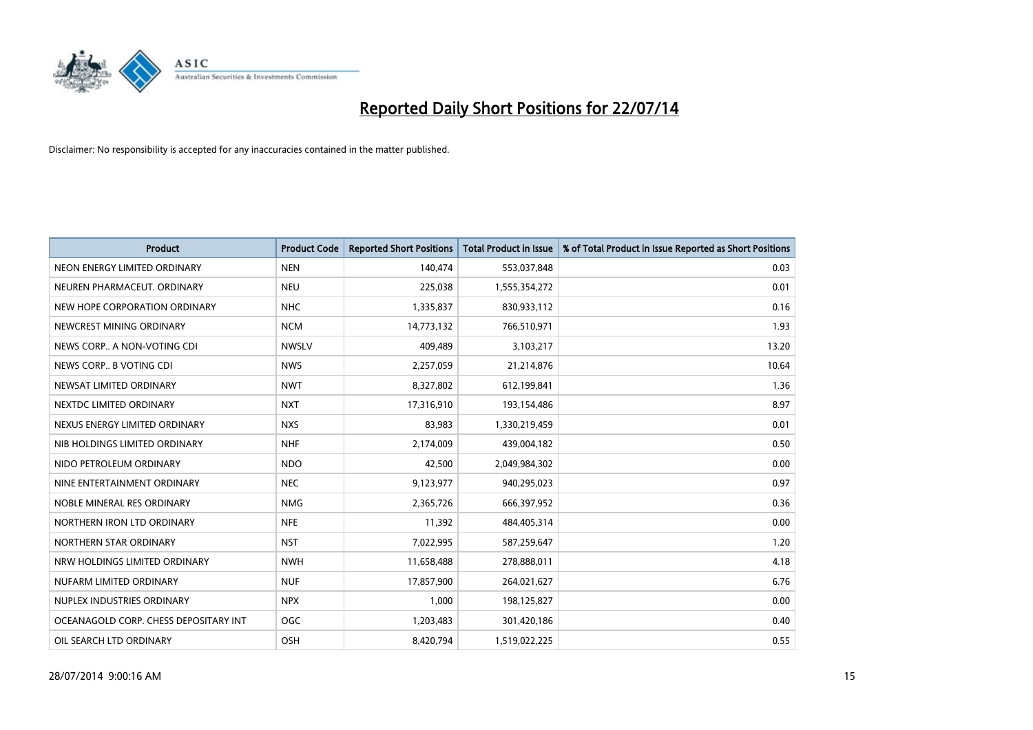

| <b>Product</b>                        | <b>Product Code</b> | <b>Reported Short Positions</b> | <b>Total Product in Issue</b> | % of Total Product in Issue Reported as Short Positions |
|---------------------------------------|---------------------|---------------------------------|-------------------------------|---------------------------------------------------------|
| NEON ENERGY LIMITED ORDINARY          | <b>NEN</b>          | 140,474                         | 553,037,848                   | 0.03                                                    |
| NEUREN PHARMACEUT. ORDINARY           | <b>NEU</b>          | 225,038                         | 1,555,354,272                 | 0.01                                                    |
| NEW HOPE CORPORATION ORDINARY         | <b>NHC</b>          | 1,335,837                       | 830,933,112                   | 0.16                                                    |
| NEWCREST MINING ORDINARY              | <b>NCM</b>          | 14,773,132                      | 766,510,971                   | 1.93                                                    |
| NEWS CORP A NON-VOTING CDI            | <b>NWSLV</b>        | 409,489                         | 3,103,217                     | 13.20                                                   |
| NEWS CORP B VOTING CDI                | <b>NWS</b>          | 2,257,059                       | 21,214,876                    | 10.64                                                   |
| NEWSAT LIMITED ORDINARY               | <b>NWT</b>          | 8,327,802                       | 612,199,841                   | 1.36                                                    |
| NEXTDC LIMITED ORDINARY               | <b>NXT</b>          | 17,316,910                      | 193,154,486                   | 8.97                                                    |
| NEXUS ENERGY LIMITED ORDINARY         | <b>NXS</b>          | 83,983                          | 1,330,219,459                 | 0.01                                                    |
| NIB HOLDINGS LIMITED ORDINARY         | <b>NHF</b>          | 2,174,009                       | 439,004,182                   | 0.50                                                    |
| NIDO PETROLEUM ORDINARY               | <b>NDO</b>          | 42,500                          | 2,049,984,302                 | 0.00                                                    |
| NINE ENTERTAINMENT ORDINARY           | <b>NEC</b>          | 9,123,977                       | 940,295,023                   | 0.97                                                    |
| NOBLE MINERAL RES ORDINARY            | <b>NMG</b>          | 2,365,726                       | 666,397,952                   | 0.36                                                    |
| NORTHERN IRON LTD ORDINARY            | <b>NFE</b>          | 11,392                          | 484,405,314                   | 0.00                                                    |
| NORTHERN STAR ORDINARY                | <b>NST</b>          | 7,022,995                       | 587,259,647                   | 1.20                                                    |
| NRW HOLDINGS LIMITED ORDINARY         | <b>NWH</b>          | 11,658,488                      | 278,888,011                   | 4.18                                                    |
| NUFARM LIMITED ORDINARY               | <b>NUF</b>          | 17,857,900                      | 264,021,627                   | 6.76                                                    |
| NUPLEX INDUSTRIES ORDINARY            | <b>NPX</b>          | 1,000                           | 198,125,827                   | 0.00                                                    |
| OCEANAGOLD CORP. CHESS DEPOSITARY INT | <b>OGC</b>          | 1,203,483                       | 301,420,186                   | 0.40                                                    |
| OIL SEARCH LTD ORDINARY               | OSH                 | 8,420,794                       | 1,519,022,225                 | 0.55                                                    |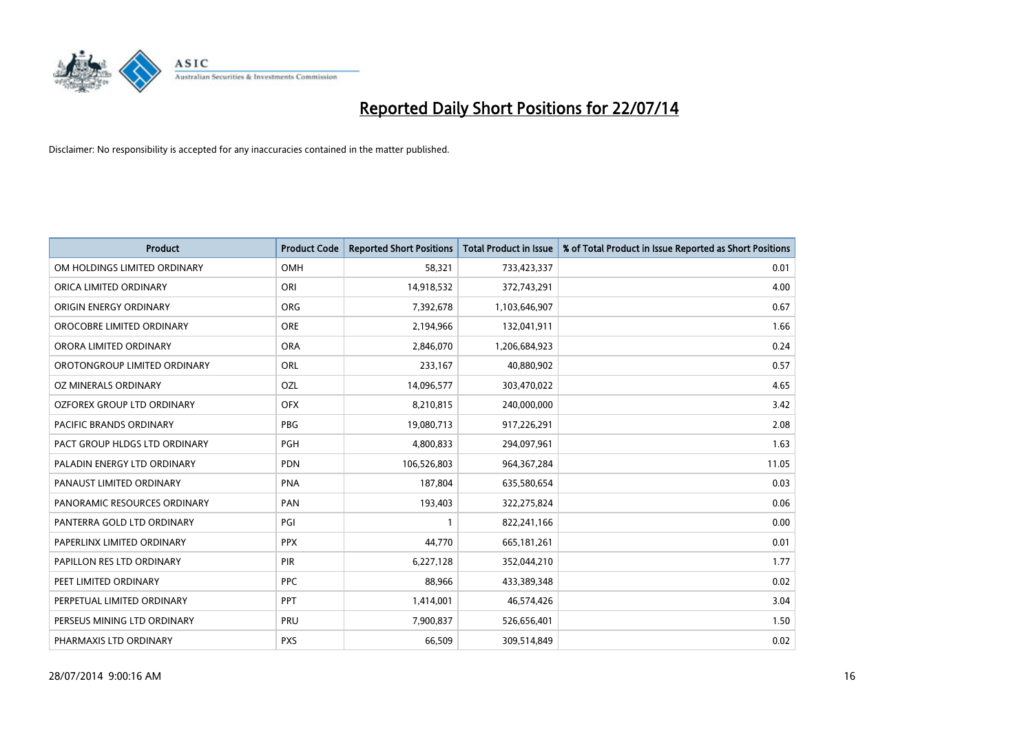

| <b>Product</b>                 | <b>Product Code</b> | <b>Reported Short Positions</b> | <b>Total Product in Issue</b> | % of Total Product in Issue Reported as Short Positions |
|--------------------------------|---------------------|---------------------------------|-------------------------------|---------------------------------------------------------|
| OM HOLDINGS LIMITED ORDINARY   | <b>OMH</b>          | 58,321                          | 733,423,337                   | 0.01                                                    |
| ORICA LIMITED ORDINARY         | ORI                 | 14,918,532                      | 372,743,291                   | 4.00                                                    |
| ORIGIN ENERGY ORDINARY         | <b>ORG</b>          | 7,392,678                       | 1,103,646,907                 | 0.67                                                    |
| OROCOBRE LIMITED ORDINARY      | <b>ORE</b>          | 2,194,966                       | 132,041,911                   | 1.66                                                    |
| ORORA LIMITED ORDINARY         | <b>ORA</b>          | 2,846,070                       | 1,206,684,923                 | 0.24                                                    |
| OROTONGROUP LIMITED ORDINARY   | ORL                 | 233,167                         | 40,880,902                    | 0.57                                                    |
| OZ MINERALS ORDINARY           | OZL                 | 14,096,577                      | 303,470,022                   | 4.65                                                    |
| OZFOREX GROUP LTD ORDINARY     | <b>OFX</b>          | 8,210,815                       | 240,000,000                   | 3.42                                                    |
| <b>PACIFIC BRANDS ORDINARY</b> | <b>PBG</b>          | 19,080,713                      | 917,226,291                   | 2.08                                                    |
| PACT GROUP HLDGS LTD ORDINARY  | <b>PGH</b>          | 4,800,833                       | 294,097,961                   | 1.63                                                    |
| PALADIN ENERGY LTD ORDINARY    | <b>PDN</b>          | 106,526,803                     | 964, 367, 284                 | 11.05                                                   |
| PANAUST LIMITED ORDINARY       | <b>PNA</b>          | 187,804                         | 635,580,654                   | 0.03                                                    |
| PANORAMIC RESOURCES ORDINARY   | PAN                 | 193,403                         | 322,275,824                   | 0.06                                                    |
| PANTERRA GOLD LTD ORDINARY     | PGI                 | $\mathbf{1}$                    | 822,241,166                   | 0.00                                                    |
| PAPERLINX LIMITED ORDINARY     | <b>PPX</b>          | 44,770                          | 665, 181, 261                 | 0.01                                                    |
| PAPILLON RES LTD ORDINARY      | PIR                 | 6,227,128                       | 352,044,210                   | 1.77                                                    |
| PEET LIMITED ORDINARY          | <b>PPC</b>          | 88,966                          | 433,389,348                   | 0.02                                                    |
| PERPETUAL LIMITED ORDINARY     | PPT                 | 1,414,001                       | 46,574,426                    | 3.04                                                    |
| PERSEUS MINING LTD ORDINARY    | PRU                 | 7,900,837                       | 526,656,401                   | 1.50                                                    |
| PHARMAXIS LTD ORDINARY         | <b>PXS</b>          | 66,509                          | 309,514,849                   | 0.02                                                    |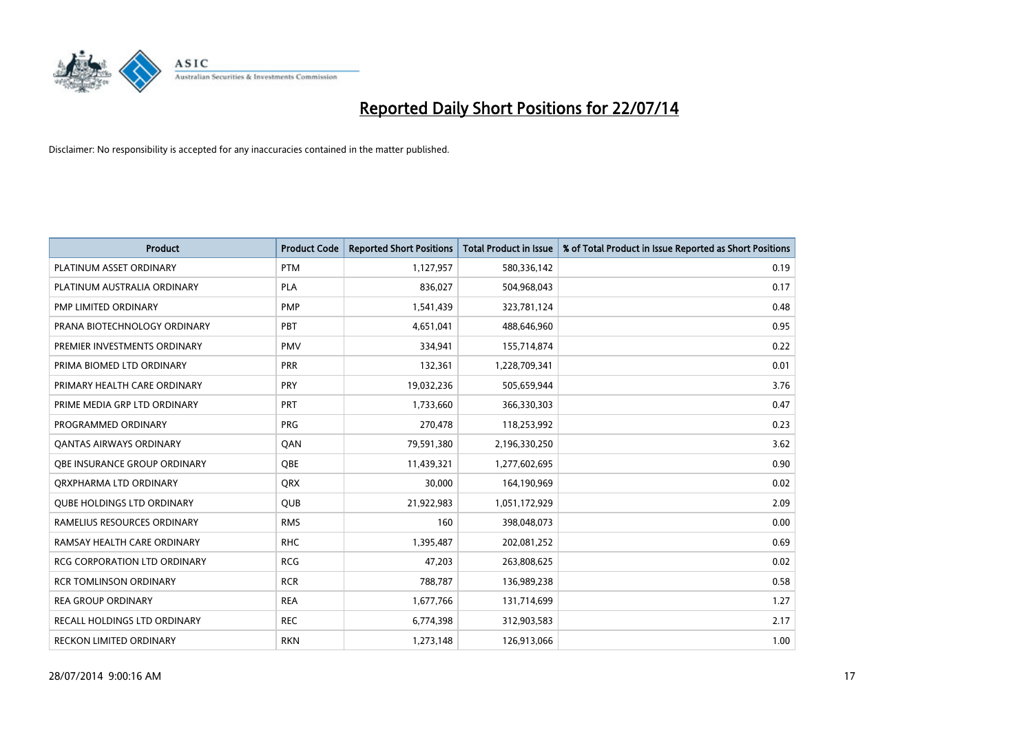

| <b>Product</b>                      | <b>Product Code</b> | <b>Reported Short Positions</b> | <b>Total Product in Issue</b> | % of Total Product in Issue Reported as Short Positions |
|-------------------------------------|---------------------|---------------------------------|-------------------------------|---------------------------------------------------------|
| PLATINUM ASSET ORDINARY             | <b>PTM</b>          | 1,127,957                       | 580,336,142                   | 0.19                                                    |
| PLATINUM AUSTRALIA ORDINARY         | <b>PLA</b>          | 836,027                         | 504,968,043                   | 0.17                                                    |
| PMP LIMITED ORDINARY                | <b>PMP</b>          | 1,541,439                       | 323,781,124                   | 0.48                                                    |
| PRANA BIOTECHNOLOGY ORDINARY        | PBT                 | 4,651,041                       | 488,646,960                   | 0.95                                                    |
| PREMIER INVESTMENTS ORDINARY        | <b>PMV</b>          | 334,941                         | 155,714,874                   | 0.22                                                    |
| PRIMA BIOMED LTD ORDINARY           | PRR                 | 132,361                         | 1,228,709,341                 | 0.01                                                    |
| PRIMARY HEALTH CARE ORDINARY        | <b>PRY</b>          | 19,032,236                      | 505,659,944                   | 3.76                                                    |
| PRIME MEDIA GRP LTD ORDINARY        | <b>PRT</b>          | 1,733,660                       | 366,330,303                   | 0.47                                                    |
| PROGRAMMED ORDINARY                 | <b>PRG</b>          | 270,478                         | 118,253,992                   | 0.23                                                    |
| OANTAS AIRWAYS ORDINARY             | QAN                 | 79,591,380                      | 2,196,330,250                 | 3.62                                                    |
| <b>OBE INSURANCE GROUP ORDINARY</b> | <b>OBE</b>          | 11,439,321                      | 1,277,602,695                 | 0.90                                                    |
| ORXPHARMA LTD ORDINARY              | <b>QRX</b>          | 30,000                          | 164,190,969                   | 0.02                                                    |
| <b>QUBE HOLDINGS LTD ORDINARY</b>   | QUB                 | 21,922,983                      | 1,051,172,929                 | 2.09                                                    |
| RAMELIUS RESOURCES ORDINARY         | <b>RMS</b>          | 160                             | 398,048,073                   | 0.00                                                    |
| RAMSAY HEALTH CARE ORDINARY         | <b>RHC</b>          | 1,395,487                       | 202,081,252                   | 0.69                                                    |
| RCG CORPORATION LTD ORDINARY        | <b>RCG</b>          | 47,203                          | 263,808,625                   | 0.02                                                    |
| <b>RCR TOMLINSON ORDINARY</b>       | <b>RCR</b>          | 788,787                         | 136,989,238                   | 0.58                                                    |
| <b>REA GROUP ORDINARY</b>           | <b>REA</b>          | 1,677,766                       | 131,714,699                   | 1.27                                                    |
| RECALL HOLDINGS LTD ORDINARY        | <b>REC</b>          | 6,774,398                       | 312,903,583                   | 2.17                                                    |
| RECKON LIMITED ORDINARY             | <b>RKN</b>          | 1,273,148                       | 126,913,066                   | 1.00                                                    |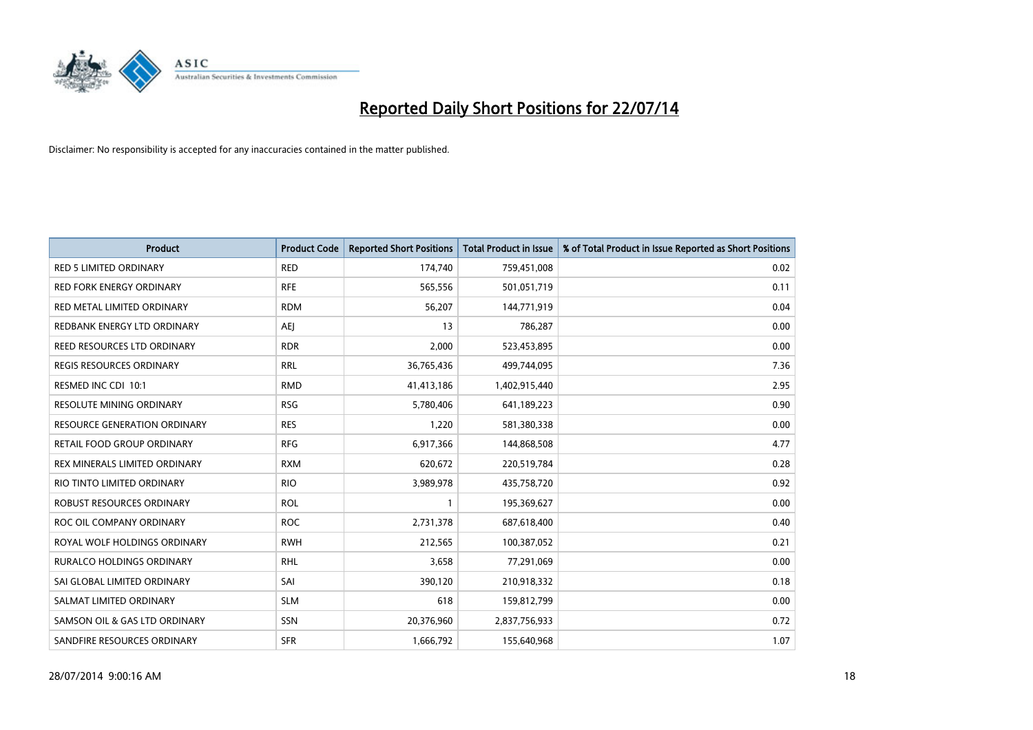

| <b>Product</b>                      | <b>Product Code</b> | <b>Reported Short Positions</b> | <b>Total Product in Issue</b> | % of Total Product in Issue Reported as Short Positions |
|-------------------------------------|---------------------|---------------------------------|-------------------------------|---------------------------------------------------------|
| <b>RED 5 LIMITED ORDINARY</b>       | <b>RED</b>          | 174,740                         | 759,451,008                   | 0.02                                                    |
| <b>RED FORK ENERGY ORDINARY</b>     | <b>RFE</b>          | 565,556                         | 501,051,719                   | 0.11                                                    |
| RED METAL LIMITED ORDINARY          | <b>RDM</b>          | 56,207                          | 144,771,919                   | 0.04                                                    |
| REDBANK ENERGY LTD ORDINARY         | <b>AEJ</b>          | 13                              | 786,287                       | 0.00                                                    |
| <b>REED RESOURCES LTD ORDINARY</b>  | <b>RDR</b>          | 2,000                           | 523,453,895                   | 0.00                                                    |
| <b>REGIS RESOURCES ORDINARY</b>     | <b>RRL</b>          | 36,765,436                      | 499,744,095                   | 7.36                                                    |
| RESMED INC CDI 10:1                 | <b>RMD</b>          | 41,413,186                      | 1,402,915,440                 | 2.95                                                    |
| RESOLUTE MINING ORDINARY            | <b>RSG</b>          | 5,780,406                       | 641,189,223                   | 0.90                                                    |
| <b>RESOURCE GENERATION ORDINARY</b> | <b>RES</b>          | 1,220                           | 581,380,338                   | 0.00                                                    |
| <b>RETAIL FOOD GROUP ORDINARY</b>   | <b>RFG</b>          | 6,917,366                       | 144,868,508                   | 4.77                                                    |
| REX MINERALS LIMITED ORDINARY       | <b>RXM</b>          | 620,672                         | 220,519,784                   | 0.28                                                    |
| RIO TINTO LIMITED ORDINARY          | <b>RIO</b>          | 3,989,978                       | 435,758,720                   | 0.92                                                    |
| ROBUST RESOURCES ORDINARY           | <b>ROL</b>          | 1                               | 195,369,627                   | 0.00                                                    |
| ROC OIL COMPANY ORDINARY            | <b>ROC</b>          | 2,731,378                       | 687,618,400                   | 0.40                                                    |
| ROYAL WOLF HOLDINGS ORDINARY        | <b>RWH</b>          | 212,565                         | 100,387,052                   | 0.21                                                    |
| <b>RURALCO HOLDINGS ORDINARY</b>    | RHL                 | 3,658                           | 77,291,069                    | 0.00                                                    |
| SAI GLOBAL LIMITED ORDINARY         | SAI                 | 390,120                         | 210,918,332                   | 0.18                                                    |
| SALMAT LIMITED ORDINARY             | <b>SLM</b>          | 618                             | 159,812,799                   | 0.00                                                    |
| SAMSON OIL & GAS LTD ORDINARY       | SSN                 | 20,376,960                      | 2,837,756,933                 | 0.72                                                    |
| SANDFIRE RESOURCES ORDINARY         | <b>SFR</b>          | 1,666,792                       | 155,640,968                   | 1.07                                                    |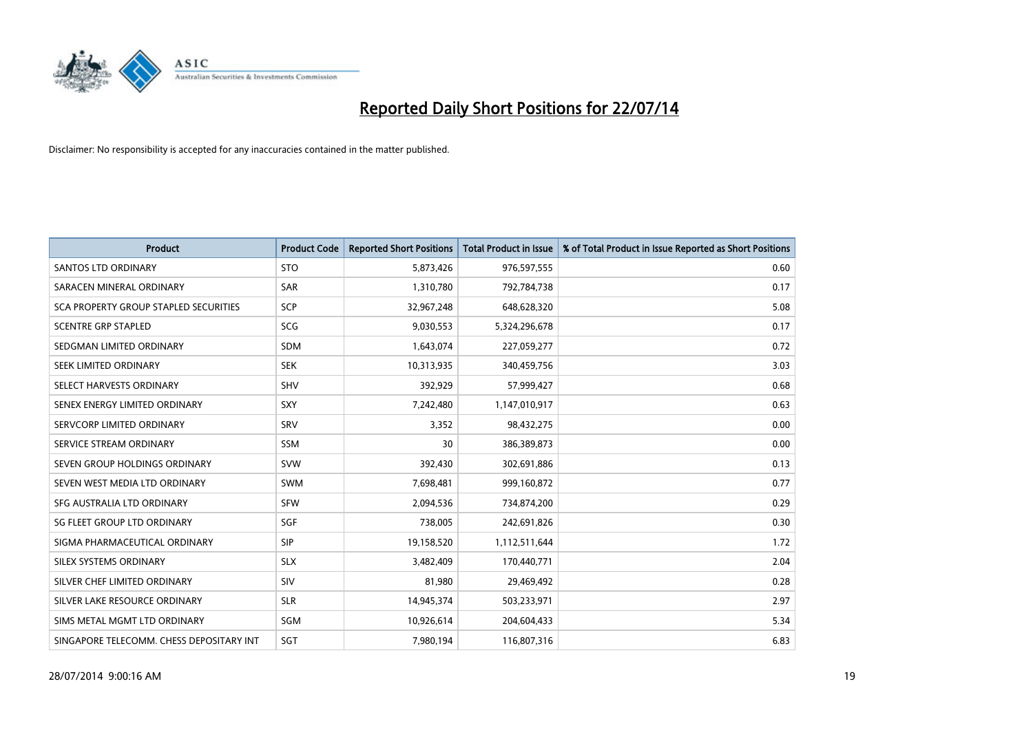

| <b>Product</b>                           | <b>Product Code</b> | <b>Reported Short Positions</b> | <b>Total Product in Issue</b> | % of Total Product in Issue Reported as Short Positions |
|------------------------------------------|---------------------|---------------------------------|-------------------------------|---------------------------------------------------------|
| <b>SANTOS LTD ORDINARY</b>               | <b>STO</b>          | 5,873,426                       | 976,597,555                   | 0.60                                                    |
| SARACEN MINERAL ORDINARY                 | SAR                 | 1,310,780                       | 792,784,738                   | 0.17                                                    |
| SCA PROPERTY GROUP STAPLED SECURITIES    | <b>SCP</b>          | 32,967,248                      | 648,628,320                   | 5.08                                                    |
| <b>SCENTRE GRP STAPLED</b>               | SCG                 | 9,030,553                       | 5,324,296,678                 | 0.17                                                    |
| SEDGMAN LIMITED ORDINARY                 | <b>SDM</b>          | 1,643,074                       | 227,059,277                   | 0.72                                                    |
| SEEK LIMITED ORDINARY                    | <b>SEK</b>          | 10,313,935                      | 340,459,756                   | 3.03                                                    |
| SELECT HARVESTS ORDINARY                 | <b>SHV</b>          | 392,929                         | 57,999,427                    | 0.68                                                    |
| SENEX ENERGY LIMITED ORDINARY            | <b>SXY</b>          | 7,242,480                       | 1,147,010,917                 | 0.63                                                    |
| SERVCORP LIMITED ORDINARY                | SRV                 | 3,352                           | 98,432,275                    | 0.00                                                    |
| SERVICE STREAM ORDINARY                  | <b>SSM</b>          | 30                              | 386,389,873                   | 0.00                                                    |
| SEVEN GROUP HOLDINGS ORDINARY            | <b>SVW</b>          | 392,430                         | 302,691,886                   | 0.13                                                    |
| SEVEN WEST MEDIA LTD ORDINARY            | <b>SWM</b>          | 7,698,481                       | 999,160,872                   | 0.77                                                    |
| SFG AUSTRALIA LTD ORDINARY               | <b>SFW</b>          | 2,094,536                       | 734,874,200                   | 0.29                                                    |
| SG FLEET GROUP LTD ORDINARY              | SGF                 | 738,005                         | 242,691,826                   | 0.30                                                    |
| SIGMA PHARMACEUTICAL ORDINARY            | <b>SIP</b>          | 19,158,520                      | 1,112,511,644                 | 1.72                                                    |
| SILEX SYSTEMS ORDINARY                   | <b>SLX</b>          | 3,482,409                       | 170,440,771                   | 2.04                                                    |
| SILVER CHEF LIMITED ORDINARY             | SIV                 | 81,980                          | 29,469,492                    | 0.28                                                    |
| SILVER LAKE RESOURCE ORDINARY            | <b>SLR</b>          | 14,945,374                      | 503,233,971                   | 2.97                                                    |
| SIMS METAL MGMT LTD ORDINARY             | SGM                 | 10,926,614                      | 204,604,433                   | 5.34                                                    |
| SINGAPORE TELECOMM. CHESS DEPOSITARY INT | SGT                 | 7,980,194                       | 116,807,316                   | 6.83                                                    |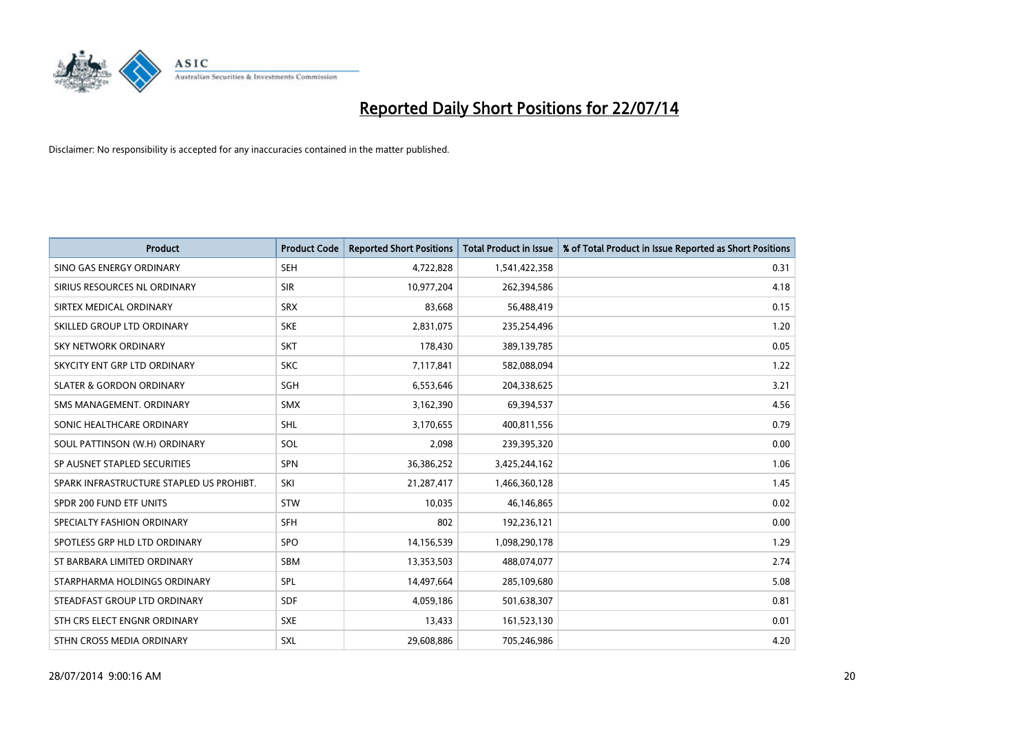

| <b>Product</b>                           | <b>Product Code</b> | <b>Reported Short Positions</b> | <b>Total Product in Issue</b> | % of Total Product in Issue Reported as Short Positions |
|------------------------------------------|---------------------|---------------------------------|-------------------------------|---------------------------------------------------------|
| SINO GAS ENERGY ORDINARY                 | <b>SEH</b>          | 4,722,828                       | 1,541,422,358                 | 0.31                                                    |
| SIRIUS RESOURCES NL ORDINARY             | <b>SIR</b>          | 10,977,204                      | 262,394,586                   | 4.18                                                    |
| SIRTEX MEDICAL ORDINARY                  | <b>SRX</b>          | 83,668                          | 56,488,419                    | 0.15                                                    |
| SKILLED GROUP LTD ORDINARY               | <b>SKE</b>          | 2,831,075                       | 235,254,496                   | 1.20                                                    |
| <b>SKY NETWORK ORDINARY</b>              | <b>SKT</b>          | 178,430                         | 389,139,785                   | 0.05                                                    |
| SKYCITY ENT GRP LTD ORDINARY             | <b>SKC</b>          | 7,117,841                       | 582,088,094                   | 1.22                                                    |
| <b>SLATER &amp; GORDON ORDINARY</b>      | SGH                 | 6,553,646                       | 204,338,625                   | 3.21                                                    |
| SMS MANAGEMENT, ORDINARY                 | <b>SMX</b>          | 3,162,390                       | 69,394,537                    | 4.56                                                    |
| SONIC HEALTHCARE ORDINARY                | <b>SHL</b>          | 3,170,655                       | 400,811,556                   | 0.79                                                    |
| SOUL PATTINSON (W.H) ORDINARY            | <b>SOL</b>          | 2,098                           | 239,395,320                   | 0.00                                                    |
| SP AUSNET STAPLED SECURITIES             | SPN                 | 36,386,252                      | 3,425,244,162                 | 1.06                                                    |
| SPARK INFRASTRUCTURE STAPLED US PROHIBT. | SKI                 | 21,287,417                      | 1,466,360,128                 | 1.45                                                    |
| SPDR 200 FUND ETF UNITS                  | <b>STW</b>          | 10,035                          | 46,146,865                    | 0.02                                                    |
| SPECIALTY FASHION ORDINARY               | <b>SFH</b>          | 802                             | 192,236,121                   | 0.00                                                    |
| SPOTLESS GRP HLD LTD ORDINARY            | <b>SPO</b>          | 14,156,539                      | 1,098,290,178                 | 1.29                                                    |
| ST BARBARA LIMITED ORDINARY              | SBM                 | 13,353,503                      | 488,074,077                   | 2.74                                                    |
| STARPHARMA HOLDINGS ORDINARY             | SPL                 | 14,497,664                      | 285,109,680                   | 5.08                                                    |
| STEADFAST GROUP LTD ORDINARY             | <b>SDF</b>          | 4,059,186                       | 501,638,307                   | 0.81                                                    |
| STH CRS ELECT ENGNR ORDINARY             | <b>SXE</b>          | 13,433                          | 161,523,130                   | 0.01                                                    |
| STHN CROSS MEDIA ORDINARY                | <b>SXL</b>          | 29,608,886                      | 705,246,986                   | 4.20                                                    |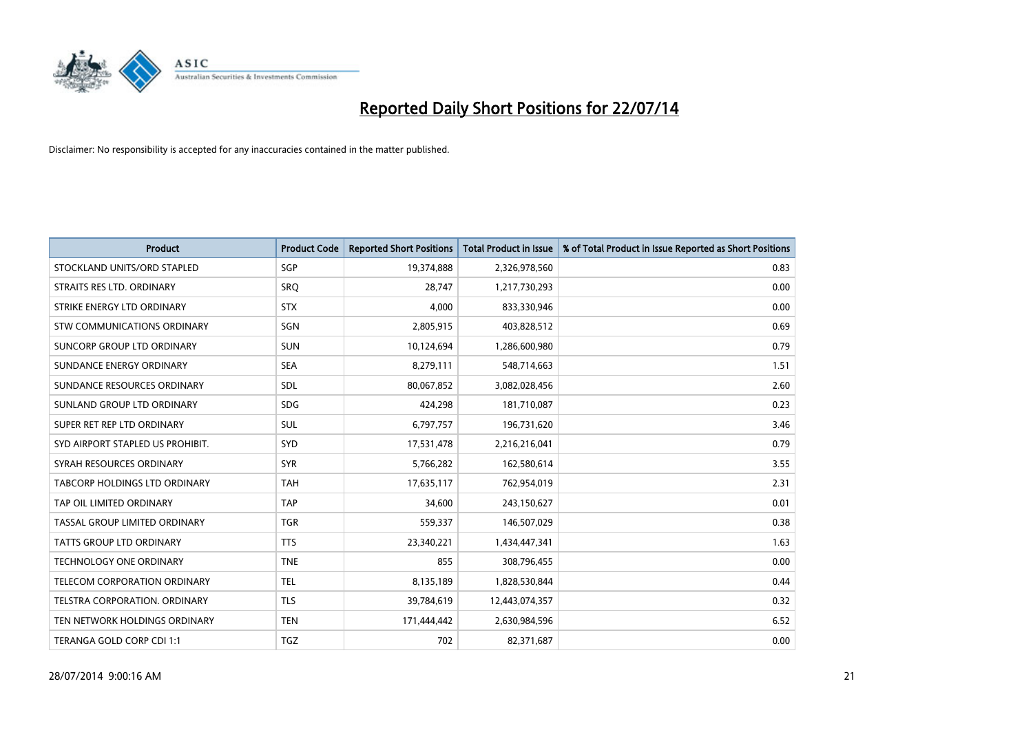

| <b>Product</b>                   | <b>Product Code</b> | <b>Reported Short Positions</b> | <b>Total Product in Issue</b> | % of Total Product in Issue Reported as Short Positions |
|----------------------------------|---------------------|---------------------------------|-------------------------------|---------------------------------------------------------|
| STOCKLAND UNITS/ORD STAPLED      | SGP                 | 19,374,888                      | 2,326,978,560                 | 0.83                                                    |
| STRAITS RES LTD. ORDINARY        | <b>SRQ</b>          | 28,747                          | 1,217,730,293                 | 0.00                                                    |
| STRIKE ENERGY LTD ORDINARY       | <b>STX</b>          | 4.000                           | 833,330,946                   | 0.00                                                    |
| STW COMMUNICATIONS ORDINARY      | SGN                 | 2,805,915                       | 403,828,512                   | 0.69                                                    |
| SUNCORP GROUP LTD ORDINARY       | <b>SUN</b>          | 10,124,694                      | 1,286,600,980                 | 0.79                                                    |
| SUNDANCE ENERGY ORDINARY         | <b>SEA</b>          | 8,279,111                       | 548,714,663                   | 1.51                                                    |
| SUNDANCE RESOURCES ORDINARY      | <b>SDL</b>          | 80,067,852                      | 3,082,028,456                 | 2.60                                                    |
| SUNLAND GROUP LTD ORDINARY       | <b>SDG</b>          | 424,298                         | 181,710,087                   | 0.23                                                    |
| SUPER RET REP LTD ORDINARY       | <b>SUL</b>          | 6,797,757                       | 196,731,620                   | 3.46                                                    |
| SYD AIRPORT STAPLED US PROHIBIT. | <b>SYD</b>          | 17,531,478                      | 2,216,216,041                 | 0.79                                                    |
| SYRAH RESOURCES ORDINARY         | <b>SYR</b>          | 5,766,282                       | 162,580,614                   | 3.55                                                    |
| TABCORP HOLDINGS LTD ORDINARY    | <b>TAH</b>          | 17,635,117                      | 762,954,019                   | 2.31                                                    |
| TAP OIL LIMITED ORDINARY         | <b>TAP</b>          | 34,600                          | 243,150,627                   | 0.01                                                    |
| TASSAL GROUP LIMITED ORDINARY    | <b>TGR</b>          | 559,337                         | 146,507,029                   | 0.38                                                    |
| <b>TATTS GROUP LTD ORDINARY</b>  | <b>TTS</b>          | 23,340,221                      | 1,434,447,341                 | 1.63                                                    |
| TECHNOLOGY ONE ORDINARY          | <b>TNE</b>          | 855                             | 308,796,455                   | 0.00                                                    |
| TELECOM CORPORATION ORDINARY     | <b>TEL</b>          | 8,135,189                       | 1,828,530,844                 | 0.44                                                    |
| TELSTRA CORPORATION, ORDINARY    | <b>TLS</b>          | 39,784,619                      | 12,443,074,357                | 0.32                                                    |
| TEN NETWORK HOLDINGS ORDINARY    | <b>TEN</b>          | 171,444,442                     | 2,630,984,596                 | 6.52                                                    |
| TERANGA GOLD CORP CDI 1:1        | TGZ                 | 702                             | 82,371,687                    | 0.00                                                    |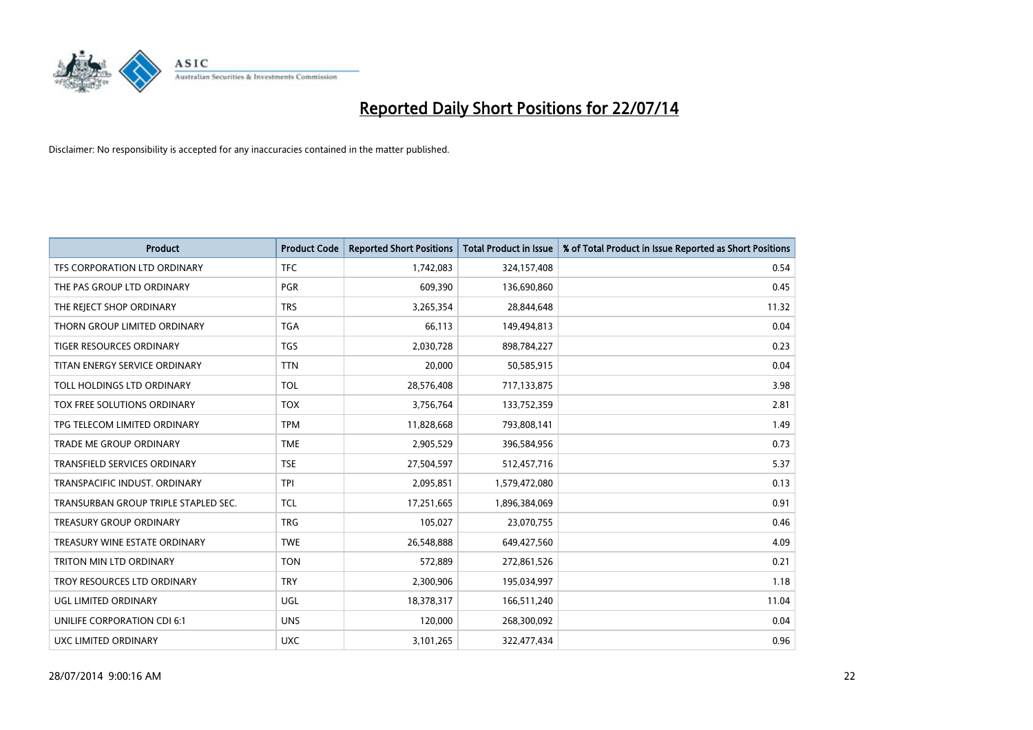

| <b>Product</b>                       | <b>Product Code</b> | <b>Reported Short Positions</b> | <b>Total Product in Issue</b> | % of Total Product in Issue Reported as Short Positions |
|--------------------------------------|---------------------|---------------------------------|-------------------------------|---------------------------------------------------------|
| TFS CORPORATION LTD ORDINARY         | <b>TFC</b>          | 1,742,083                       | 324,157,408                   | 0.54                                                    |
| THE PAS GROUP LTD ORDINARY           | <b>PGR</b>          | 609,390                         | 136,690,860                   | 0.45                                                    |
| THE REJECT SHOP ORDINARY             | <b>TRS</b>          | 3,265,354                       | 28,844,648                    | 11.32                                                   |
| THORN GROUP LIMITED ORDINARY         | <b>TGA</b>          | 66,113                          | 149,494,813                   | 0.04                                                    |
| <b>TIGER RESOURCES ORDINARY</b>      | <b>TGS</b>          | 2,030,728                       | 898,784,227                   | 0.23                                                    |
| TITAN ENERGY SERVICE ORDINARY        | <b>TTN</b>          | 20,000                          | 50,585,915                    | 0.04                                                    |
| TOLL HOLDINGS LTD ORDINARY           | <b>TOL</b>          | 28,576,408                      | 717,133,875                   | 3.98                                                    |
| TOX FREE SOLUTIONS ORDINARY          | <b>TOX</b>          | 3,756,764                       | 133,752,359                   | 2.81                                                    |
| TPG TELECOM LIMITED ORDINARY         | <b>TPM</b>          | 11,828,668                      | 793,808,141                   | 1.49                                                    |
| <b>TRADE ME GROUP ORDINARY</b>       | <b>TME</b>          | 2,905,529                       | 396,584,956                   | 0.73                                                    |
| TRANSFIELD SERVICES ORDINARY         | <b>TSE</b>          | 27,504,597                      | 512,457,716                   | 5.37                                                    |
| TRANSPACIFIC INDUST, ORDINARY        | <b>TPI</b>          | 2,095,851                       | 1,579,472,080                 | 0.13                                                    |
| TRANSURBAN GROUP TRIPLE STAPLED SEC. | <b>TCL</b>          | 17,251,665                      | 1,896,384,069                 | 0.91                                                    |
| <b>TREASURY GROUP ORDINARY</b>       | <b>TRG</b>          | 105,027                         | 23,070,755                    | 0.46                                                    |
| TREASURY WINE ESTATE ORDINARY        | <b>TWE</b>          | 26,548,888                      | 649,427,560                   | 4.09                                                    |
| TRITON MIN LTD ORDINARY              | <b>TON</b>          | 572,889                         | 272,861,526                   | 0.21                                                    |
| TROY RESOURCES LTD ORDINARY          | <b>TRY</b>          | 2,300,906                       | 195,034,997                   | 1.18                                                    |
| UGL LIMITED ORDINARY                 | UGL                 | 18,378,317                      | 166,511,240                   | 11.04                                                   |
| UNILIFE CORPORATION CDI 6:1          | <b>UNS</b>          | 120,000                         | 268,300,092                   | 0.04                                                    |
| <b>UXC LIMITED ORDINARY</b>          | <b>UXC</b>          | 3,101,265                       | 322,477,434                   | 0.96                                                    |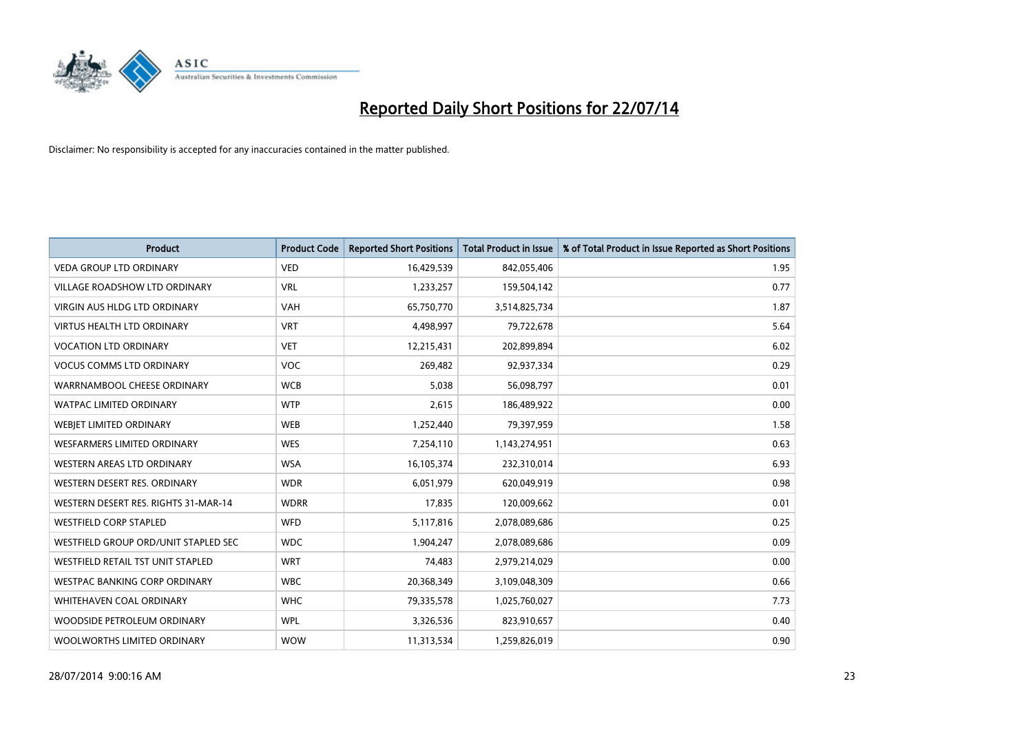

| <b>Product</b>                       | <b>Product Code</b> | <b>Reported Short Positions</b> | <b>Total Product in Issue</b> | % of Total Product in Issue Reported as Short Positions |
|--------------------------------------|---------------------|---------------------------------|-------------------------------|---------------------------------------------------------|
| <b>VEDA GROUP LTD ORDINARY</b>       | <b>VED</b>          | 16,429,539                      | 842,055,406                   | 1.95                                                    |
| VILLAGE ROADSHOW LTD ORDINARY        | <b>VRL</b>          | 1,233,257                       | 159,504,142                   | 0.77                                                    |
| <b>VIRGIN AUS HLDG LTD ORDINARY</b>  | <b>VAH</b>          | 65,750,770                      | 3,514,825,734                 | 1.87                                                    |
| VIRTUS HEALTH LTD ORDINARY           | <b>VRT</b>          | 4,498,997                       | 79,722,678                    | 5.64                                                    |
| <b>VOCATION LTD ORDINARY</b>         | <b>VET</b>          | 12,215,431                      | 202,899,894                   | 6.02                                                    |
| <b>VOCUS COMMS LTD ORDINARY</b>      | <b>VOC</b>          | 269,482                         | 92,937,334                    | 0.29                                                    |
| WARRNAMBOOL CHEESE ORDINARY          | <b>WCB</b>          | 5,038                           | 56,098,797                    | 0.01                                                    |
| WATPAC LIMITED ORDINARY              | <b>WTP</b>          | 2,615                           | 186,489,922                   | 0.00                                                    |
| WEBJET LIMITED ORDINARY              | <b>WEB</b>          | 1,252,440                       | 79,397,959                    | 1.58                                                    |
| WESFARMERS LIMITED ORDINARY          | <b>WES</b>          | 7,254,110                       | 1,143,274,951                 | 0.63                                                    |
| WESTERN AREAS LTD ORDINARY           | <b>WSA</b>          | 16,105,374                      | 232,310,014                   | 6.93                                                    |
| WESTERN DESERT RES. ORDINARY         | <b>WDR</b>          | 6,051,979                       | 620,049,919                   | 0.98                                                    |
| WESTERN DESERT RES. RIGHTS 31-MAR-14 | <b>WDRR</b>         | 17,835                          | 120,009,662                   | 0.01                                                    |
| <b>WESTFIELD CORP STAPLED</b>        | <b>WFD</b>          | 5,117,816                       | 2,078,089,686                 | 0.25                                                    |
| WESTFIELD GROUP ORD/UNIT STAPLED SEC | <b>WDC</b>          | 1,904,247                       | 2,078,089,686                 | 0.09                                                    |
| WESTFIELD RETAIL TST UNIT STAPLED    | <b>WRT</b>          | 74,483                          | 2,979,214,029                 | 0.00                                                    |
| WESTPAC BANKING CORP ORDINARY        | <b>WBC</b>          | 20,368,349                      | 3,109,048,309                 | 0.66                                                    |
| WHITEHAVEN COAL ORDINARY             | <b>WHC</b>          | 79,335,578                      | 1,025,760,027                 | 7.73                                                    |
| WOODSIDE PETROLEUM ORDINARY          | <b>WPL</b>          | 3,326,536                       | 823,910,657                   | 0.40                                                    |
| WOOLWORTHS LIMITED ORDINARY          | <b>WOW</b>          | 11,313,534                      | 1,259,826,019                 | 0.90                                                    |